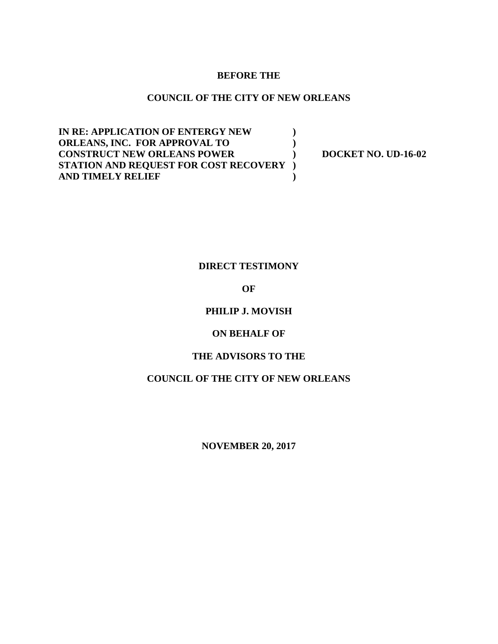### **BEFORE THE**

## **COUNCIL OF THE CITY OF NEW ORLEANS**

**IN RE: APPLICATION OF ENTERGY NEW ) ORLEANS, INC. FOR APPROVAL TO ) CONSTRUCT NEW ORLEANS POWER ) DOCKET NO. UD-16-02 STATION AND REQUEST FOR COST RECOVERY ) AND TIMELY RELIEF )**

## **DIRECT TESTIMONY**

### **OF**

## **PHILIP J. MOVISH**

### **ON BEHALF OF**

### **THE ADVISORS TO THE**

## **COUNCIL OF THE CITY OF NEW ORLEANS**

**NOVEMBER 20, 2017**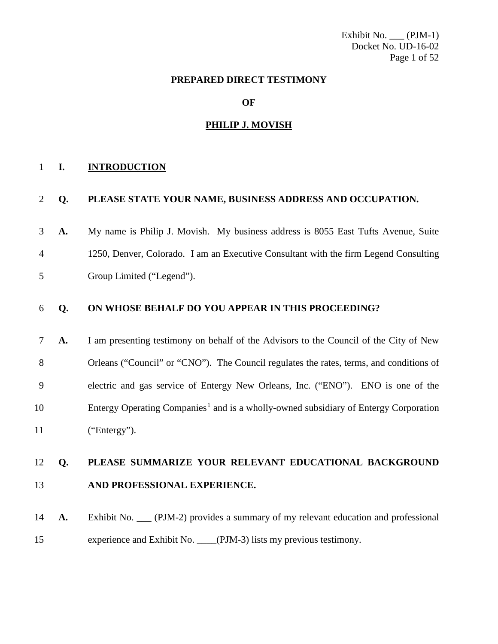Exhibit No. \_\_\_ (PJM-1) Docket No. UD-16-02 Page 1 of 52

### **PREPARED DIRECT TESTIMONY**

**OF**

#### **PHILIP J. MOVISH**

### **I. INTRODUCTION**

# **Q. PLEASE STATE YOUR NAME, BUSINESS ADDRESS AND OCCUPATION.**

 **A.** My name is Philip J. Movish. My business address is 8055 East Tufts Avenue, Suite 1250, Denver, Colorado. I am an Executive Consultant with the firm Legend Consulting Group Limited ("Legend").

### **Q. ON WHOSE BEHALF DO YOU APPEAR IN THIS PROCEEDING?**

 **A.** I am presenting testimony on behalf of the Advisors to the Council of the City of New Orleans ("Council" or "CNO"). The Council regulates the rates, terms, and conditions of electric and gas service of Entergy New Orleans, Inc. ("ENO"). ENO is one of the 0 Entergy Operating Companies<sup>1</sup> and is a wholly-owned subsidiary of Entergy Corporation ("Entergy").

# **Q. PLEASE SUMMARIZE YOUR RELEVANT EDUCATIONAL BACKGROUND AND PROFESSIONAL EXPERIENCE.**

<span id="page-1-0"></span>**A.** Exhibit No. (PJM-2) provides a summary of my relevant education and professional experience and Exhibit No. \_\_\_\_(PJM-3) lists my previous testimony.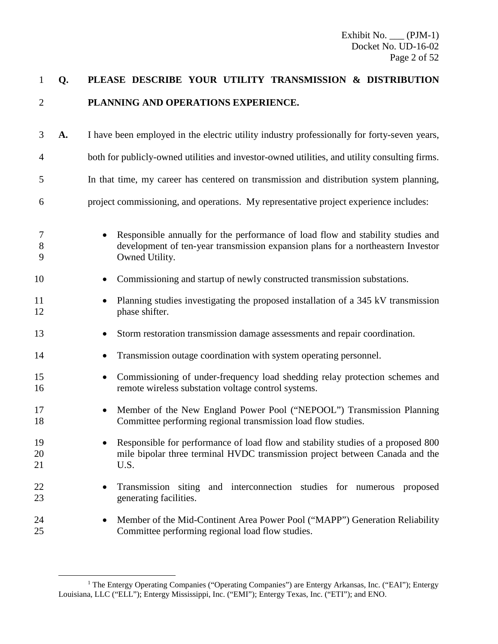| $\mathbf{1}$   | Q. | PLEASE DESCRIBE YOUR UTILITY TRANSMISSION & DISTRIBUTION                                                                                                                                           |
|----------------|----|----------------------------------------------------------------------------------------------------------------------------------------------------------------------------------------------------|
| 2              |    | PLANNING AND OPERATIONS EXPERIENCE.                                                                                                                                                                |
| 3              | A. | I have been employed in the electric utility industry professionally for forty-seven years,                                                                                                        |
| 4              |    | both for publicly-owned utilities and investor-owned utilities, and utility consulting firms.                                                                                                      |
| 5              |    | In that time, my career has centered on transmission and distribution system planning,                                                                                                             |
| 6              |    | project commissioning, and operations. My representative project experience includes:                                                                                                              |
| 7<br>8<br>9    |    | Responsible annually for the performance of load flow and stability studies and<br>$\bullet$<br>development of ten-year transmission expansion plans for a northeastern Investor<br>Owned Utility. |
| 10             |    | Commissioning and startup of newly constructed transmission substations.<br>$\bullet$                                                                                                              |
| 11<br>12       |    | Planning studies investigating the proposed installation of a 345 kV transmission<br>phase shifter.                                                                                                |
| 13             |    | Storm restoration transmission damage assessments and repair coordination.<br>$\bullet$                                                                                                            |
| 14             |    | Transmission outage coordination with system operating personnel.<br>٠                                                                                                                             |
| 15<br>16       |    | Commissioning of under-frequency load shedding relay protection schemes and<br>$\bullet$<br>remote wireless substation voltage control systems.                                                    |
| 17<br>18       |    | Member of the New England Power Pool ("NEPOOL") Transmission Planning<br>$\bullet$<br>Committee performing regional transmission load flow studies.                                                |
| 19<br>20<br>21 |    | Responsible for performance of load flow and stability studies of a proposed 800<br>mile bipolar three terminal HVDC transmission project between Canada and the<br>U.S.                           |
| 22<br>23       |    | Transmission siting and interconnection studies for numerous proposed<br>٠<br>generating facilities.                                                                                               |
| 24<br>25       |    | Member of the Mid-Continent Area Power Pool ("MAPP") Generation Reliability<br>٠<br>Committee performing regional load flow studies.                                                               |

<sup>&</sup>lt;sup>1</sup> The Entergy Operating Companies ("Operating Companies") are Entergy Arkansas, Inc. ("EAI"); Entergy Louisiana, LLC ("ELL"); Entergy Mississippi, Inc. ("EMI"); Entergy Texas, Inc. ("ETI"); and ENO.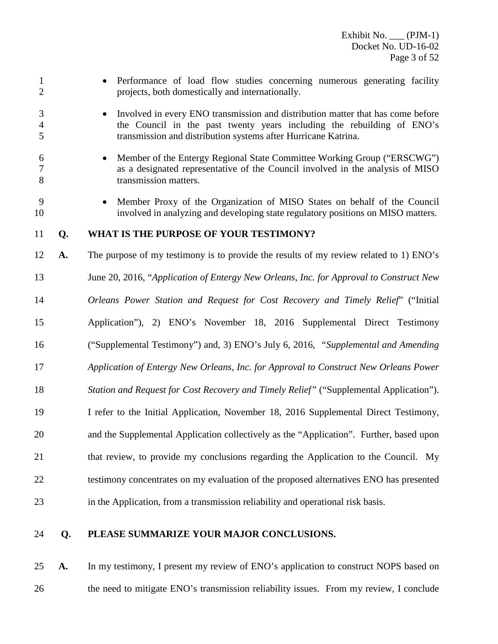• Performance of load flow studies concerning numerous generating facility projects, both domestically and internationally. • Involved in every ENO transmission and distribution matter that has come before the Council in the past twenty years including the rebuilding of ENO's transmission and distribution systems after Hurricane Katrina. • Member of the Entergy Regional State Committee Working Group ("ERSCWG") as a designated representative of the Council involved in the analysis of MISO transmission matters. • Member Proxy of the Organization of MISO States on behalf of the Council involved in analyzing and developing state regulatory positions on MISO matters. **Q. WHAT IS THE PURPOSE OF YOUR TESTIMONY? A.** The purpose of my testimony is to provide the results of my review related to 1) ENO's June 20, 2016, "*Application of Entergy New Orleans, Inc. for Approval to Construct New Orleans Power Station and Request for Cost Recovery and Timely Relief*" ("Initial Application"), 2) ENO's November 18, 2016 Supplemental Direct Testimony ("Supplemental Testimony") and, 3) ENO's July 6, 2016, *"Supplemental and Amending Application of Entergy New Orleans, Inc. for Approval to Construct New Orleans Power Station and Request for Cost Recovery and Timely Relief"* ("Supplemental Application"). I refer to the Initial Application, November 18, 2016 Supplemental Direct Testimony, and the Supplemental Application collectively as the "Application". Further, based upon that review, to provide my conclusions regarding the Application to the Council. My testimony concentrates on my evaluation of the proposed alternatives ENO has presented in the Application, from a transmission reliability and operational risk basis. **Q. PLEASE SUMMARIZE YOUR MAJOR CONCLUSIONS.**

 **A.** In my testimony, I present my review of ENO's application to construct NOPS based on 26 the need to mitigate ENO's transmission reliability issues. From my review, I conclude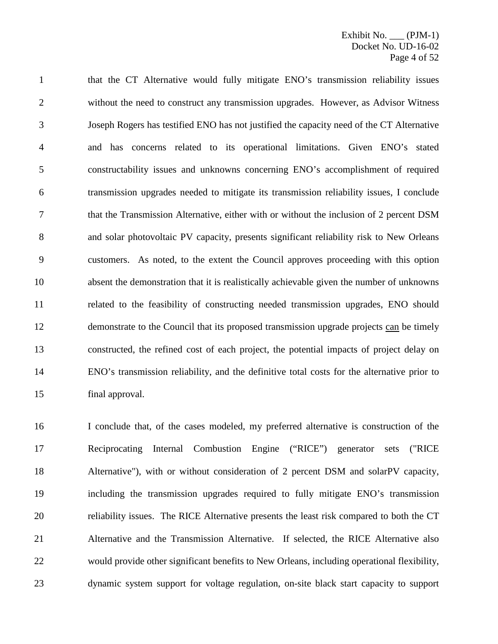that the CT Alternative would fully mitigate ENO's transmission reliability issues without the need to construct any transmission upgrades. However, as Advisor Witness Joseph Rogers has testified ENO has not justified the capacity need of the CT Alternative and has concerns related to its operational limitations. Given ENO's stated constructability issues and unknowns concerning ENO's accomplishment of required transmission upgrades needed to mitigate its transmission reliability issues, I conclude that the Transmission Alternative, either with or without the inclusion of 2 percent DSM and solar photovoltaic PV capacity, presents significant reliability risk to New Orleans customers. As noted, to the extent the Council approves proceeding with this option absent the demonstration that it is realistically achievable given the number of unknowns related to the feasibility of constructing needed transmission upgrades, ENO should demonstrate to the Council that its proposed transmission upgrade projects can be timely constructed, the refined cost of each project, the potential impacts of project delay on ENO's transmission reliability, and the definitive total costs for the alternative prior to final approval.

 I conclude that, of the cases modeled, my preferred alternative is construction of the Reciprocating Internal Combustion Engine ("RICE") generator sets ("RICE Alternative"), with or without consideration of 2 percent DSM and solarPV capacity, including the transmission upgrades required to fully mitigate ENO's transmission reliability issues. The RICE Alternative presents the least risk compared to both the CT Alternative and the Transmission Alternative. If selected, the RICE Alternative also would provide other significant benefits to New Orleans, including operational flexibility, dynamic system support for voltage regulation, on-site black start capacity to support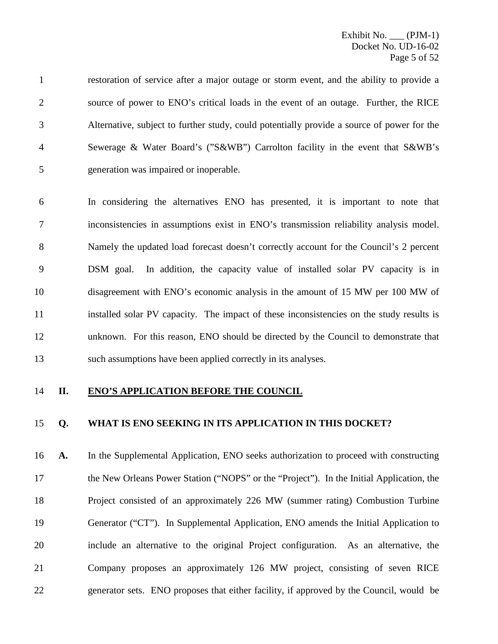restoration of service after a major outage or storm event, and the ability to provide a source of power to ENO's critical loads in the event of an outage. Further, the RICE Alternative, subject to further study, could potentially provide a source of power for the Sewerage & Water Board's ("S&WB") Carrolton facility in the event that S&WB's generation was impaired or inoperable.

 In considering the alternatives ENO has presented, it is important to note that inconsistencies in assumptions exist in ENO's transmission reliability analysis model. Namely the updated load forecast doesn't correctly account for the Council's 2 percent DSM goal. In addition, the capacity value of installed solar PV capacity is in disagreement with ENO's economic analysis in the amount of 15 MW per 100 MW of installed solar PV capacity. The impact of these inconsistencies on the study results is unknown. For this reason, ENO should be directed by the Council to demonstrate that such assumptions have been applied correctly in its analyses.

### **II. ENO'S APPLICATION BEFORE THE COUNCIL**

### **Q. WHAT IS ENO SEEKING IN ITS APPLICATION IN THIS DOCKET?**

 **A.** In the Supplemental Application, ENO seeks authorization to proceed with constructing the New Orleans Power Station ("NOPS" or the "Project"). In the Initial Application, the Project consisted of an approximately 226 MW (summer rating) Combustion Turbine Generator ("CT"). In Supplemental Application, ENO amends the Initial Application to include an alternative to the original Project configuration. As an alternative, the Company proposes an approximately 126 MW project, consisting of seven RICE generator sets. ENO proposes that either facility, if approved by the Council, would be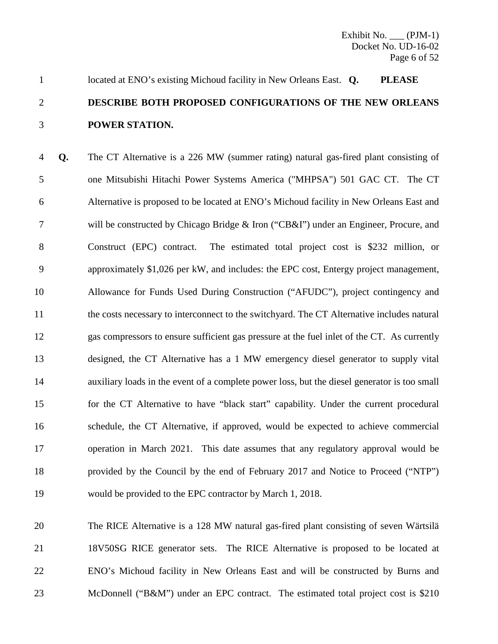# located at ENO's existing Michoud facility in New Orleans East. **Q. PLEASE DESCRIBE BOTH PROPOSED CONFIGURATIONS OF THE NEW ORLEANS POWER STATION.**

 **Q.** The CT Alternative is a 226 MW (summer rating) natural gas-fired plant consisting of one Mitsubishi Hitachi Power Systems America ("MHPSA") 501 GAC CT. The CT Alternative is proposed to be located at ENO's Michoud facility in New Orleans East and will be constructed by Chicago Bridge & Iron ("CB&I") under an Engineer, Procure, and Construct (EPC) contract. The estimated total project cost is \$232 million, or approximately \$1,026 per kW, and includes: the EPC cost, Entergy project management, Allowance for Funds Used During Construction ("AFUDC"), project contingency and 11 the costs necessary to interconnect to the switchyard. The CT Alternative includes natural gas compressors to ensure sufficient gas pressure at the fuel inlet of the CT. As currently designed, the CT Alternative has a 1 MW emergency diesel generator to supply vital auxiliary loads in the event of a complete power loss, but the diesel generator is too small for the CT Alternative to have "black start" capability. Under the current procedural schedule, the CT Alternative, if approved, would be expected to achieve commercial operation in March 2021. This date assumes that any regulatory approval would be provided by the Council by the end of February 2017 and Notice to Proceed ("NTP") would be provided to the EPC contractor by March 1, 2018.

 The RICE Alternative is a 128 MW natural gas-fired plant consisting of seven Wärtsilä 18V50SG RICE generator sets. The RICE Alternative is proposed to be located at ENO's Michoud facility in New Orleans East and will be constructed by Burns and 23 McDonnell ("B&M") under an EPC contract. The estimated total project cost is \$210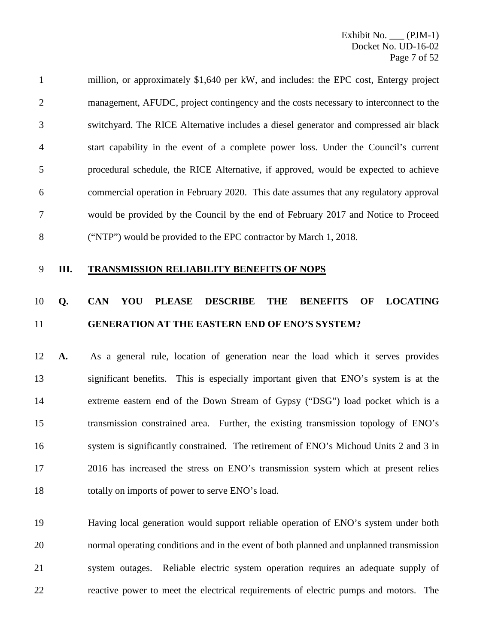million, or approximately \$1,640 per kW, and includes: the EPC cost, Entergy project 2 management, AFUDC, project contingency and the costs necessary to interconnect to the switchyard. The RICE Alternative includes a diesel generator and compressed air black start capability in the event of a complete power loss. Under the Council's current procedural schedule, the RICE Alternative, if approved, would be expected to achieve commercial operation in February 2020. This date assumes that any regulatory approval would be provided by the Council by the end of February 2017 and Notice to Proceed ("NTP") would be provided to the EPC contractor by March 1, 2018.

**III. TRANSMISSION RELIABILITY BENEFITS OF NOPS**

# **Q. CAN YOU PLEASE DESCRIBE THE BENEFITS OF LOCATING GENERATION AT THE EASTERN END OF ENO'S SYSTEM?**

 **A.** As a general rule, location of generation near the load which it serves provides significant benefits. This is especially important given that ENO's system is at the extreme eastern end of the Down Stream of Gypsy ("DSG") load pocket which is a transmission constrained area. Further, the existing transmission topology of ENO's system is significantly constrained. The retirement of ENO's Michoud Units 2 and 3 in 2016 has increased the stress on ENO's transmission system which at present relies 18 totally on imports of power to serve ENO's load.

 Having local generation would support reliable operation of ENO's system under both normal operating conditions and in the event of both planned and unplanned transmission system outages. Reliable electric system operation requires an adequate supply of reactive power to meet the electrical requirements of electric pumps and motors. The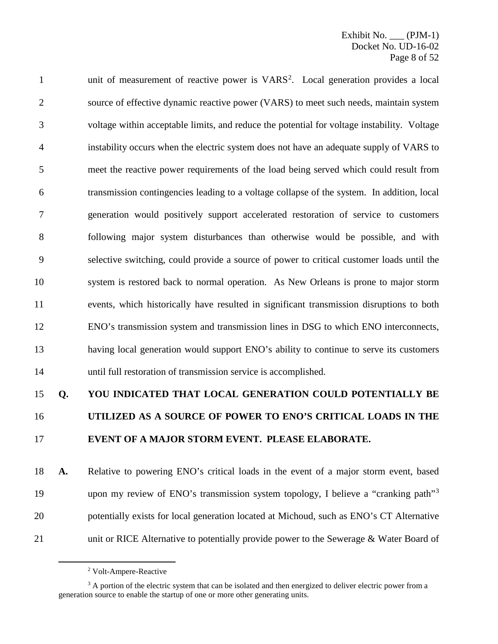1 unit of measurement of reactive power is VARS<sup>[2](#page-8-0)</sup>. Local generation provides a local source of effective dynamic reactive power (VARS) to meet such needs, maintain system voltage within acceptable limits, and reduce the potential for voltage instability. Voltage instability occurs when the electric system does not have an adequate supply of VARS to meet the reactive power requirements of the load being served which could result from transmission contingencies leading to a voltage collapse of the system. In addition, local generation would positively support accelerated restoration of service to customers following major system disturbances than otherwise would be possible, and with selective switching, could provide a source of power to critical customer loads until the system is restored back to normal operation. As New Orleans is prone to major storm events, which historically have resulted in significant transmission disruptions to both ENO's transmission system and transmission lines in DSG to which ENO interconnects, having local generation would support ENO's ability to continue to serve its customers until full restoration of transmission service is accomplished.

# **Q. YOU INDICATED THAT LOCAL GENERATION COULD POTENTIALLY BE UTILIZED AS A SOURCE OF POWER TO ENO'S CRITICAL LOADS IN THE EVENT OF A MAJOR STORM EVENT. PLEASE ELABORATE.**

 **A.** Relative to powering ENO's critical loads in the event of a major storm event, based 19 upon my review of ENO's transmission system topology, I believe a "cranking path"<sup>[3](#page-8-1)</sup> potentially exists for local generation located at Michoud, such as ENO's CT Alternative 21 unit or RICE Alternative to potentially provide power to the Sewerage & Water Board of

Volt-Ampere-Reactive

<span id="page-8-1"></span><span id="page-8-0"></span><sup>&</sup>lt;sup>3</sup> A portion of the electric system that can be isolated and then energized to deliver electric power from a generation source to enable the startup of one or more other generating units.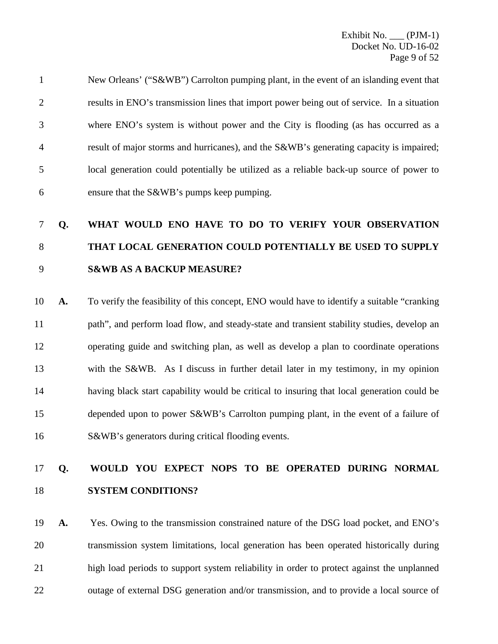New Orleans' ("S&WB") Carrolton pumping plant, in the event of an islanding event that results in ENO's transmission lines that import power being out of service. In a situation where ENO's system is without power and the City is flooding (as has occurred as a result of major storms and hurricanes), and the S&WB's generating capacity is impaired; local generation could potentially be utilized as a reliable back-up source of power to ensure that the S&WB's pumps keep pumping.

# **Q. WHAT WOULD ENO HAVE TO DO TO VERIFY YOUR OBSERVATION THAT LOCAL GENERATION COULD POTENTIALLY BE USED TO SUPPLY S&WB AS A BACKUP MEASURE?**

 **A.** To verify the feasibility of this concept, ENO would have to identify a suitable "cranking path", and perform load flow, and steady-state and transient stability studies, develop an operating guide and switching plan, as well as develop a plan to coordinate operations with the S&WB. As I discuss in further detail later in my testimony, in my opinion having black start capability would be critical to insuring that local generation could be depended upon to power S&WB's Carrolton pumping plant, in the event of a failure of S&WB's generators during critical flooding events.

# **Q. WOULD YOU EXPECT NOPS TO BE OPERATED DURING NORMAL SYSTEM CONDITIONS?**

 **A.** Yes. Owing to the transmission constrained nature of the DSG load pocket, and ENO's transmission system limitations, local generation has been operated historically during high load periods to support system reliability in order to protect against the unplanned 22 outage of external DSG generation and/or transmission, and to provide a local source of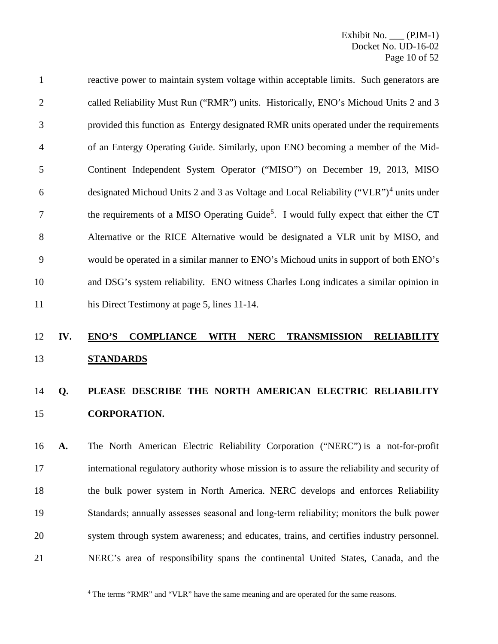reactive power to maintain system voltage within acceptable limits. Such generators are called Reliability Must Run ("RMR") units. Historically, ENO's Michoud Units 2 and 3 provided this function as Entergy designated RMR units operated under the requirements of an Entergy Operating Guide. Similarly, upon ENO becoming a member of the Mid- Continent Independent System Operator ("MISO") on December 19, 2013, MISO 6 designated Michoud Units 2 and 3 as Voltage and Local Reliability ("VLR")<sup>[4](#page-10-0)</sup> units under the requirements of a MISO Operating Guide<sup>[5](#page-10-0)</sup>. I would fully expect that either the CT Alternative or the RICE Alternative would be designated a VLR unit by MISO, and would be operated in a similar manner to ENO's Michoud units in support of both ENO's and DSG's system reliability. ENO witness Charles Long indicates a similar opinion in his Direct Testimony at page 5, lines 11-14.

# **IV. ENO'S COMPLIANCE WITH NERC TRANSMISSION RELIABILITY STANDARDS**

# **Q. PLEASE DESCRIBE THE NORTH AMERICAN ELECTRIC RELIABILITY CORPORATION.**

 **A.** The North American Electric Reliability Corporation ("NERC") is a not-for-profit international regulatory authority whose mission is to assure the reliability and security of the bulk power system in North America. NERC develops and enforces Reliability 19 Standards; annually assesses seasonal and long-term reliability; monitors the bulk power system through system awareness; and educates, trains, and certifies industry personnel. NERC's area of responsibility spans the continental United States, Canada, and the

<span id="page-10-0"></span>The terms "RMR" and "VLR" have the same meaning and are operated for the same reasons.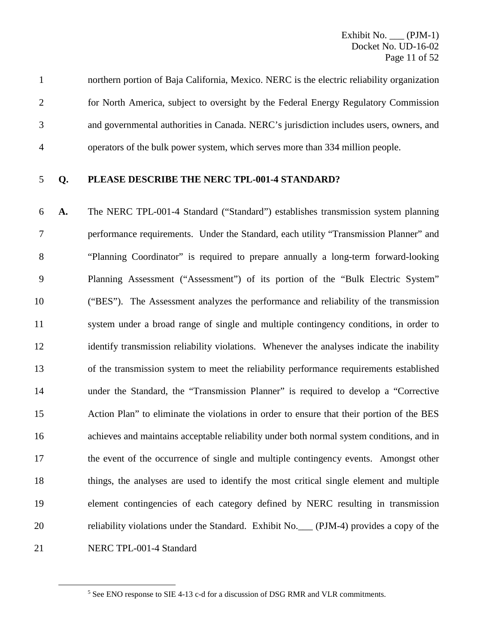## **Q. PLEASE DESCRIBE THE NERC TPL-001-4 STANDARD?**

 **A.** The NERC TPL-001-4 Standard ("Standard") establishes transmission system planning performance requirements. Under the Standard, each utility "Transmission Planner" and "Planning Coordinator" is required to prepare annually a long-term forward-looking Planning Assessment ("Assessment") of its portion of the "Bulk Electric System" ("BES"). The Assessment analyzes the performance and reliability of the transmission system under a broad range of single and multiple contingency conditions, in order to 12 identify transmission reliability violations. Whenever the analyses indicate the inability of the transmission system to meet the reliability performance requirements established under the Standard, the "Transmission Planner" is required to develop a "Corrective Action Plan" to eliminate the violations in order to ensure that their portion of the BES achieves and maintains acceptable reliability under both normal system conditions, and in the event of the occurrence of single and multiple contingency events. Amongst other things, the analyses are used to identify the most critical single element and multiple element contingencies of each category defined by NERC resulting in transmission reliability violations under the Standard. Exhibit No.\_\_\_ (PJM-4) provides a copy of the NERC TPL-001-4 Standard

See ENO response to SIE 4-13 c-d for a discussion of DSG RMR and VLR commitments.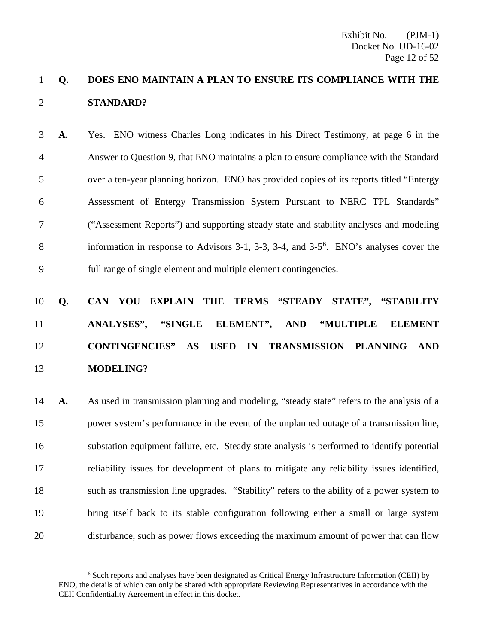# **Q. DOES ENO MAINTAIN A PLAN TO ENSURE ITS COMPLIANCE WITH THE STANDARD?**

 **A.** Yes. ENO witness Charles Long indicates in his Direct Testimony, at page 6 in the Answer to Question 9, that ENO maintains a plan to ensure compliance with the Standard over a ten-year planning horizon. ENO has provided copies of its reports titled "Entergy Assessment of Entergy Transmission System Pursuant to NERC TPL Standards" ("Assessment Reports") and supporting steady state and stability analyses and modeling  $\delta$  information in response to Advisors 3-1, 3-3, 3-4, and 3-5<sup>[6](#page-12-0)</sup>. ENO's analyses cover the full range of single element and multiple element contingencies.

# **Q. CAN YOU EXPLAIN THE TERMS "STEADY STATE", "STABILITY ANALYSES", "SINGLE ELEMENT", AND "MULTIPLE ELEMENT CONTINGENCIES" AS USED IN TRANSMISSION PLANNING AND MODELING?**

 **A.** As used in transmission planning and modeling, "steady state" refers to the analysis of a power system's performance in the event of the unplanned outage of a transmission line, substation equipment failure, etc. Steady state analysis is performed to identify potential reliability issues for development of plans to mitigate any reliability issues identified, such as transmission line upgrades. "Stability" refers to the ability of a power system to bring itself back to its stable configuration following either a small or large system disturbance, such as power flows exceeding the maximum amount of power that can flow

<span id="page-12-0"></span> Such reports and analyses have been designated as Critical Energy Infrastructure Information (CEII) by ENO, the details of which can only be shared with appropriate Reviewing Representatives in accordance with the CEII Confidentiality Agreement in effect in this docket.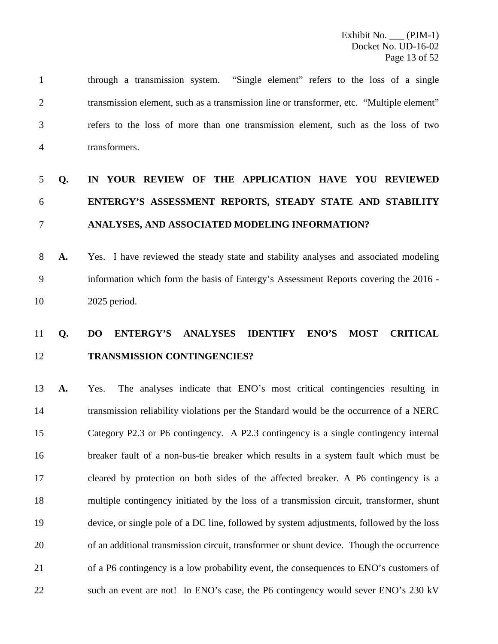through a transmission system. "Single element" refers to the loss of a single transmission element, such as a transmission line or transformer, etc. "Multiple element" refers to the loss of more than one transmission element, such as the loss of two transformers.

# **Q. IN YOUR REVIEW OF THE APPLICATION HAVE YOU REVIEWED ENTERGY'S ASSESSMENT REPORTS, STEADY STATE AND STABILITY ANALYSES, AND ASSOCIATED MODELING INFORMATION?**

 **A.** Yes. I have reviewed the steady state and stability analyses and associated modeling information which form the basis of Entergy's Assessment Reports covering the 2016 - 2025 period.

# **Q. DO ENTERGY'S ANALYSES IDENTIFY ENO'S MOST CRITICAL TRANSMISSION CONTINGENCIES?**

 **A.** Yes. The analyses indicate that ENO's most critical contingencies resulting in transmission reliability violations per the Standard would be the occurrence of a NERC Category P2.3 or P6 contingency. A P2.3 contingency is a single contingency internal breaker fault of a non-bus-tie breaker which results in a system fault which must be cleared by protection on both sides of the affected breaker. A P6 contingency is a multiple contingency initiated by the loss of a transmission circuit, transformer, shunt device, or single pole of a DC line, followed by system adjustments, followed by the loss of an additional transmission circuit, transformer or shunt device. Though the occurrence of a P6 contingency is a low probability event, the consequences to ENO's customers of such an event are not! In ENO's case, the P6 contingency would sever ENO's 230 kV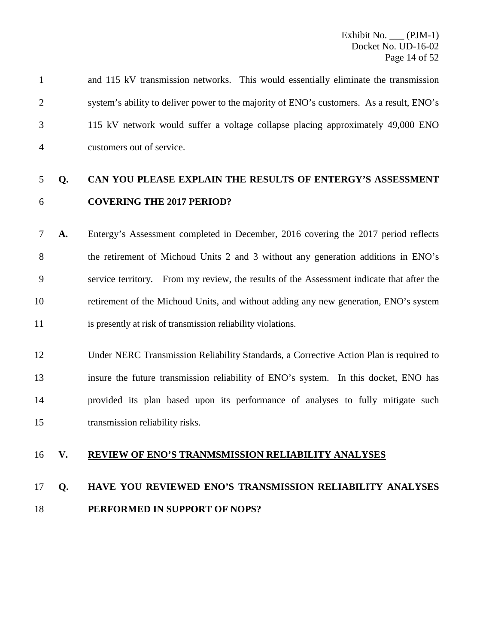and 115 kV transmission networks. This would essentially eliminate the transmission system's ability to deliver power to the majority of ENO's customers. As a result, ENO's 115 kV network would suffer a voltage collapse placing approximately 49,000 ENO customers out of service.

# **Q. CAN YOU PLEASE EXPLAIN THE RESULTS OF ENTERGY'S ASSESSMENT COVERING THE 2017 PERIOD?**

 **A.** Entergy's Assessment completed in December, 2016 covering the 2017 period reflects the retirement of Michoud Units 2 and 3 without any generation additions in ENO's service territory. From my review, the results of the Assessment indicate that after the retirement of the Michoud Units, and without adding any new generation, ENO's system is presently at risk of transmission reliability violations.

 Under NERC Transmission Reliability Standards, a Corrective Action Plan is required to insure the future transmission reliability of ENO's system. In this docket, ENO has provided its plan based upon its performance of analyses to fully mitigate such transmission reliability risks.

## **V. REVIEW OF ENO'S TRANMSMISSION RELIABILITY ANALYSES**

# **Q. HAVE YOU REVIEWED ENO'S TRANSMISSION RELIABILITY ANALYSES PERFORMED IN SUPPORT OF NOPS?**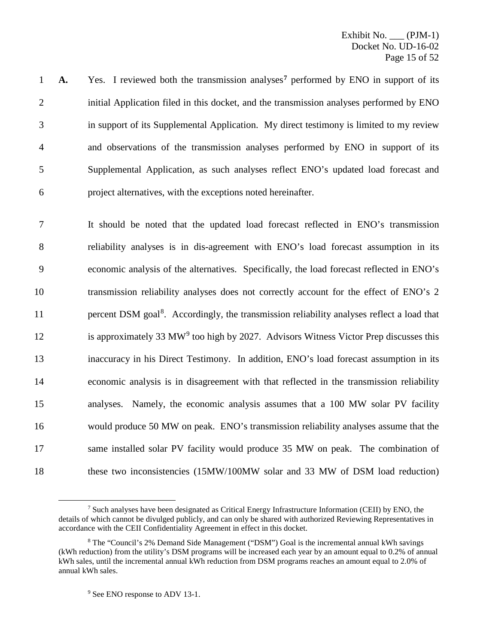**A.** Yes. I reviewed both the transmission analyses<sup>[7](#page-15-0)</sup> performed by ENO in support of its 2 initial Application filed in this docket, and the transmission analyses performed by ENO in support of its Supplemental Application. My direct testimony is limited to my review and observations of the transmission analyses performed by ENO in support of its Supplemental Application, as such analyses reflect ENO's updated load forecast and project alternatives, with the exceptions noted hereinafter.

 It should be noted that the updated load forecast reflected in ENO's transmission reliability analyses is in dis-agreement with ENO's load forecast assumption in its economic analysis of the alternatives. Specifically, the load forecast reflected in ENO's transmission reliability analyses does not correctly account for the effect of ENO's 2 11 here percent DSM goal<sup>[8](#page-15-1)</sup>. Accordingly, the transmission reliability analyses reflect a load that 12 is approximately 33 MW<sup>[9](#page-15-2)</sup> too high by 2027. Advisors Witness Victor Prep discusses this inaccuracy in his Direct Testimony. In addition, ENO's load forecast assumption in its economic analysis is in disagreement with that reflected in the transmission reliability analyses. Namely, the economic analysis assumes that a 100 MW solar PV facility would produce 50 MW on peak. ENO's transmission reliability analyses assume that the same installed solar PV facility would produce 35 MW on peak. The combination of these two inconsistencies (15MW/100MW solar and 33 MW of DSM load reduction)

<span id="page-15-0"></span> <sup>7</sup> Such analyses have been designated as Critical Energy Infrastructure Information (CEII) by ENO, the details of which cannot be divulged publicly, and can only be shared with authorized Reviewing Representatives in accordance with the CEII Confidentiality Agreement in effect in this docket.

<span id="page-15-2"></span><span id="page-15-1"></span><sup>8</sup> The "Council's 2% Demand Side Management ("DSM") Goal is the incremental annual kWh savings (kWh reduction) from the utility's DSM programs will be increased each year by an amount equal to 0.2% of annual kWh sales, until the incremental annual kWh reduction from DSM programs reaches an amount equal to 2.0% of annual kWh sales.

<sup>&</sup>lt;sup>9</sup> See ENO response to ADV 13-1.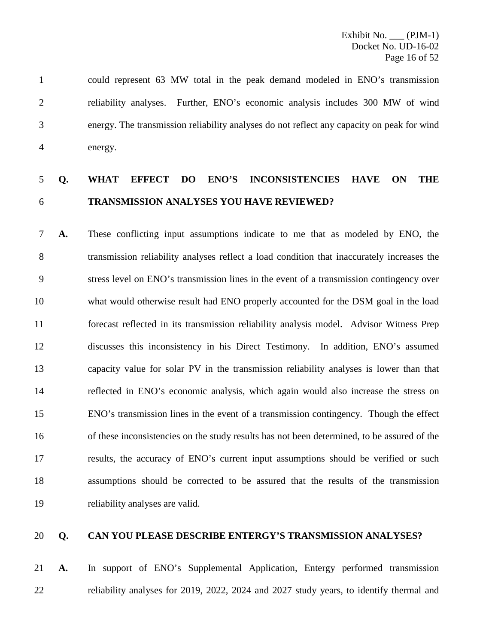could represent 63 MW total in the peak demand modeled in ENO's transmission reliability analyses. Further, ENO's economic analysis includes 300 MW of wind energy. The transmission reliability analyses do not reflect any capacity on peak for wind energy.

# **Q. WHAT EFFECT DO ENO'S INCONSISTENCIES HAVE ON THE TRANSMISSION ANALYSES YOU HAVE REVIEWED?**

 **A.** These conflicting input assumptions indicate to me that as modeled by ENO, the transmission reliability analyses reflect a load condition that inaccurately increases the stress level on ENO's transmission lines in the event of a transmission contingency over what would otherwise result had ENO properly accounted for the DSM goal in the load forecast reflected in its transmission reliability analysis model. Advisor Witness Prep discusses this inconsistency in his Direct Testimony. In addition, ENO's assumed capacity value for solar PV in the transmission reliability analyses is lower than that reflected in ENO's economic analysis, which again would also increase the stress on ENO's transmission lines in the event of a transmission contingency. Though the effect of these inconsistencies on the study results has not been determined, to be assured of the results, the accuracy of ENO's current input assumptions should be verified or such assumptions should be corrected to be assured that the results of the transmission reliability analyses are valid.

## **Q. CAN YOU PLEASE DESCRIBE ENTERGY'S TRANSMISSION ANALYSES?**

 **A.** In support of ENO's Supplemental Application, Entergy performed transmission reliability analyses for 2019, 2022, 2024 and 2027 study years, to identify thermal and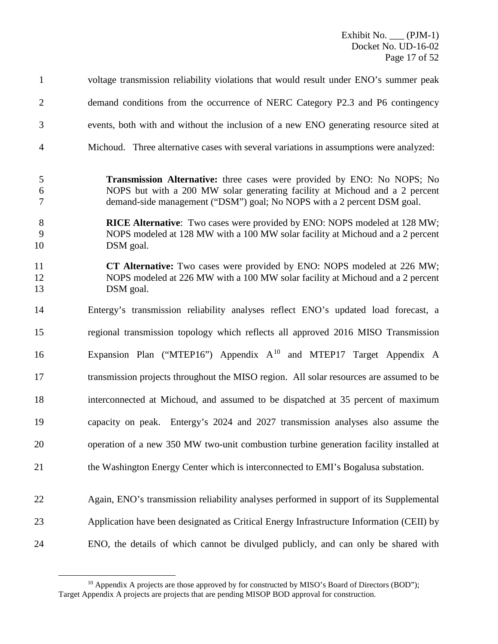Exhibit No. \_\_\_ (PJM-1) Docket No. UD-16-02 Page 17 of 52

| $\mathbf{1}$                    | voltage transmission reliability violations that would result under ENO's summer peak                                                                                                                                             |
|---------------------------------|-----------------------------------------------------------------------------------------------------------------------------------------------------------------------------------------------------------------------------------|
| $\overline{2}$                  | demand conditions from the occurrence of NERC Category P2.3 and P6 contingency                                                                                                                                                    |
| 3                               | events, both with and without the inclusion of a new ENO generating resource sited at                                                                                                                                             |
| $\overline{4}$                  | Michoud. Three alternative cases with several variations in assumptions were analyzed:                                                                                                                                            |
| 5<br>$\boldsymbol{6}$<br>$\tau$ | Transmission Alternative: three cases were provided by ENO: No NOPS; No<br>NOPS but with a 200 MW solar generating facility at Michoud and a 2 percent<br>demand-side management ("DSM") goal; No NOPS with a 2 percent DSM goal. |
| 8<br>9<br>10                    | RICE Alternative: Two cases were provided by ENO: NOPS modeled at 128 MW;<br>NOPS modeled at 128 MW with a 100 MW solar facility at Michoud and a 2 percent<br>DSM goal.                                                          |
| 11<br>12<br>13                  | CT Alternative: Two cases were provided by ENO: NOPS modeled at 226 MW;<br>NOPS modeled at 226 MW with a 100 MW solar facility at Michoud and a 2 percent<br>DSM goal.                                                            |
| 14                              | Entergy's transmission reliability analyses reflect ENO's updated load forecast, a                                                                                                                                                |
| 15                              | regional transmission topology which reflects all approved 2016 MISO Transmission                                                                                                                                                 |
| 16                              | Expansion Plan ("MTEP16") Appendix $A^{10}$ and MTEP17 Target Appendix A                                                                                                                                                          |
| 17                              | transmission projects throughout the MISO region. All solar resources are assumed to be                                                                                                                                           |
| 18                              | interconnected at Michoud, and assumed to be dispatched at 35 percent of maximum                                                                                                                                                  |
| 19                              | capacity on peak. Entergy's 2024 and 2027 transmission analyses also assume the                                                                                                                                                   |
| 20                              | operation of a new 350 MW two-unit combustion turbine generation facility installed at                                                                                                                                            |
| 21                              | the Washington Energy Center which is interconnected to EMI's Bogalusa substation.                                                                                                                                                |
| 22                              | Again, ENO's transmission reliability analyses performed in support of its Supplemental                                                                                                                                           |
| 23                              | Application have been designated as Critical Energy Infrastructure Information (CEII) by                                                                                                                                          |
| 24                              | ENO, the details of which cannot be divulged publicly, and can only be shared with                                                                                                                                                |

<span id="page-17-0"></span><sup>&</sup>lt;sup>10</sup> Appendix A projects are those approved by for constructed by MISO's Board of Directors (BOD"); Target Appendix A projects are projects that are pending MISOP BOD approval for construction.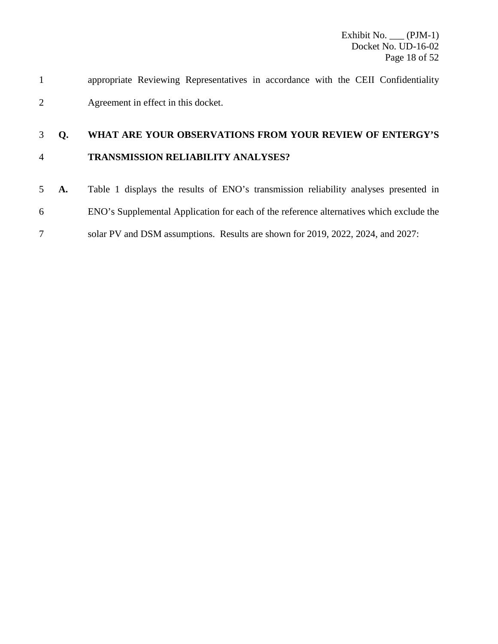appropriate Reviewing Representatives in accordance with the CEII Confidentiality Agreement in effect in this docket.

# **Q. WHAT ARE YOUR OBSERVATIONS FROM YOUR REVIEW OF ENTERGY'S TRANSMISSION RELIABILITY ANALYSES?**

 **A.** Table 1 displays the results of ENO's transmission reliability analyses presented in ENO's Supplemental Application for each of the reference alternatives which exclude the solar PV and DSM assumptions. Results are shown for 2019, 2022, 2024, and 2027: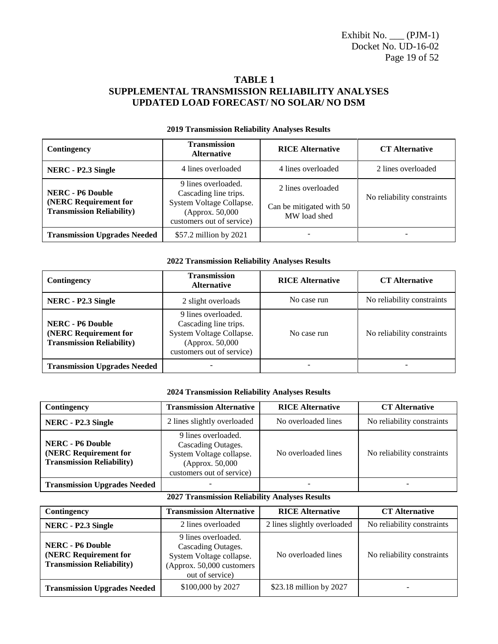Exhibit No. \_\_\_ (PJM-1) Docket No. UD-16-02 Page 19 of 52

## **TABLE 1 SUPPLEMENTAL TRANSMISSION RELIABILITY ANALYSES UPDATED LOAD FORECAST/ NO SOLAR/ NO DSM**

| Contingency                                                                          | <b>Transmission</b><br><b>Alternative</b>                                                                                 | <b>RICE Alternative</b>                                        | <b>CT</b> Alternative      |
|--------------------------------------------------------------------------------------|---------------------------------------------------------------------------------------------------------------------------|----------------------------------------------------------------|----------------------------|
| 4 lines overloaded<br>NERC - P2.3 Single                                             |                                                                                                                           | 4 lines overloaded                                             | 2 lines overloaded         |
| <b>NERC - P6 Double</b><br>(NERC Requirement for<br><b>Transmission Reliability)</b> | 9 lines overloaded.<br>Cascading line trips.<br>System Voltage Collapse.<br>(Approx. 50,000)<br>customers out of service) | 2 lines overloaded<br>Can be mitigated with 50<br>MW load shed | No reliability constraints |
| <b>Transmission Upgrades Needed</b>                                                  | \$57.2 million by 2021                                                                                                    |                                                                |                            |

### **2019 Transmission Reliability Analyses Results**

#### **2022 Transmission Reliability Analyses Results**

| Contingency                                                                          | <b>Transmission</b><br><b>Alternative</b>                                                                                 | <b>RICE Alternative</b> | <b>CT</b> Alternative      |
|--------------------------------------------------------------------------------------|---------------------------------------------------------------------------------------------------------------------------|-------------------------|----------------------------|
| NERC - P2.3 Single                                                                   | 2 slight overloads                                                                                                        | No case run             | No reliability constraints |
| <b>NERC - P6 Double</b><br>(NERC Requirement for<br><b>Transmission Reliability)</b> | 9 lines overloaded.<br>Cascading line trips.<br>System Voltage Collapse.<br>(Approx. 50,000)<br>customers out of service) | No case run             | No reliability constraints |
| <b>Transmission Upgrades Needed</b>                                                  |                                                                                                                           |                         |                            |

#### **2024 Transmission Reliability Analyses Results**

| Contingency                                                                                                                                                                                                    | <b>Transmission Alternative</b> | <b>RICE Alternative</b> | <b>CT</b> Alternative      |
|----------------------------------------------------------------------------------------------------------------------------------------------------------------------------------------------------------------|---------------------------------|-------------------------|----------------------------|
| NERC - P2.3 Single                                                                                                                                                                                             | 2 lines slightly overloaded     | No overloaded lines     | No reliability constraints |
| 9 lines overloaded.<br><b>NERC</b> - P6 Double<br>Cascading Outages.<br>(NERC Requirement for<br>System Voltage collapse.<br><b>Transmission Reliability)</b><br>(Approx. 50,000)<br>customers out of service) |                                 | No overloaded lines     | No reliability constraints |
| <b>Transmission Upgrades Needed</b>                                                                                                                                                                            |                                 |                         |                            |

#### **2027 Transmission Reliability Analyses Results**

| Contingency                                                                          | <b>Transmission Alternative</b>                                                                                       | <b>RICE Alternative</b>     | <b>CT</b> Alternative      |
|--------------------------------------------------------------------------------------|-----------------------------------------------------------------------------------------------------------------------|-----------------------------|----------------------------|
| 2 lines overloaded<br>NERC - P2.3 Single                                             |                                                                                                                       | 2 lines slightly overloaded | No reliability constraints |
| <b>NERC - P6 Double</b><br>(NERC Requirement for<br><b>Transmission Reliability)</b> | 9 lines overloaded.<br>Cascading Outages.<br>System Voltage collapse.<br>(Approx. 50,000 customers<br>out of service) | No overloaded lines         | No reliability constraints |
| <b>Transmission Upgrades Needed</b>                                                  | \$100,000 by 2027                                                                                                     | \$23.18 million by 2027     |                            |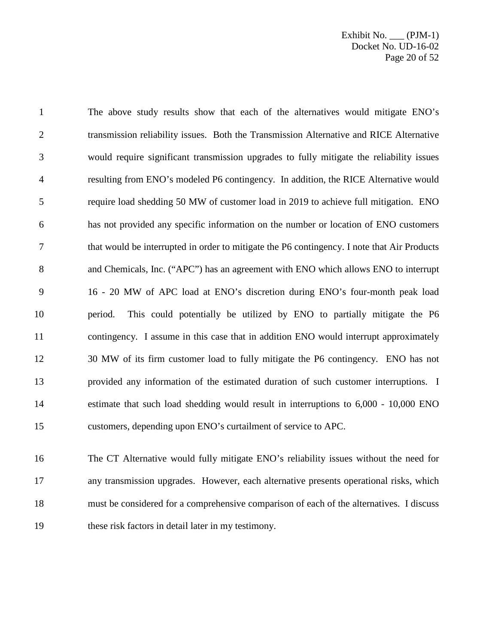Exhibit No. \_\_\_ (PJM-1) Docket No. UD-16-02 Page 20 of 52

 The above study results show that each of the alternatives would mitigate ENO's transmission reliability issues. Both the Transmission Alternative and RICE Alternative would require significant transmission upgrades to fully mitigate the reliability issues resulting from ENO's modeled P6 contingency. In addition, the RICE Alternative would require load shedding 50 MW of customer load in 2019 to achieve full mitigation. ENO has not provided any specific information on the number or location of ENO customers that would be interrupted in order to mitigate the P6 contingency. I note that Air Products and Chemicals, Inc. ("APC") has an agreement with ENO which allows ENO to interrupt 16 - 20 MW of APC load at ENO's discretion during ENO's four-month peak load period. This could potentially be utilized by ENO to partially mitigate the P6 contingency. I assume in this case that in addition ENO would interrupt approximately 30 MW of its firm customer load to fully mitigate the P6 contingency. ENO has not provided any information of the estimated duration of such customer interruptions. I estimate that such load shedding would result in interruptions to 6,000 - 10,000 ENO customers, depending upon ENO's curtailment of service to APC.

 The CT Alternative would fully mitigate ENO's reliability issues without the need for any transmission upgrades. However, each alternative presents operational risks, which must be considered for a comprehensive comparison of each of the alternatives. I discuss these risk factors in detail later in my testimony.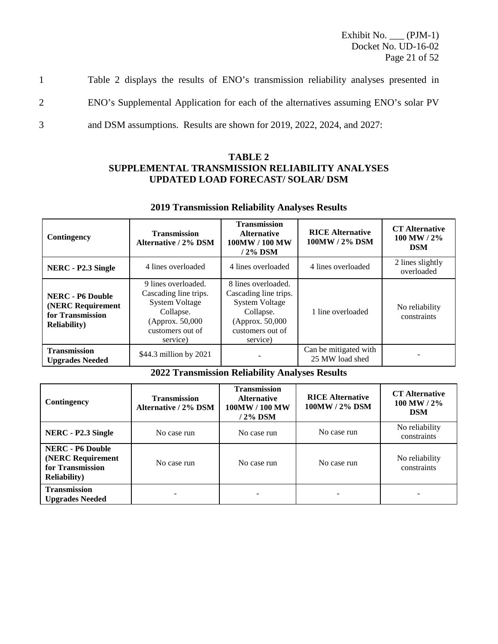Exhibit No. \_\_\_ (PJM-1) Docket No. UD-16-02 Page 21 of 52

1 Table 2 displays the results of ENO's transmission reliability analyses presented in 2 ENO's Supplemental Application for each of the alternatives assuming ENO's solar PV 3 and DSM assumptions. Results are shown for 2019, 2022, 2024, and 2027:

## **TABLE 2 SUPPLEMENTAL TRANSMISSION RELIABILITY ANALYSES UPDATED LOAD FORECAST/ SOLAR/ DSM**

| Contingency                                                                              | <b>Transmission</b><br><b>Alternative / 2% DSM</b>                                                                                     | <b>Transmission</b><br><b>Alternative</b><br>100MW / 100 MW<br>$/2\%$ DSM                                                              | <b>RICE Alternative</b><br>100MW / 2% DSM | <b>CT</b> Alternative<br>100 MW / 2%<br><b>DSM</b> |
|------------------------------------------------------------------------------------------|----------------------------------------------------------------------------------------------------------------------------------------|----------------------------------------------------------------------------------------------------------------------------------------|-------------------------------------------|----------------------------------------------------|
| NERC - P2.3 Single                                                                       | 4 lines overloaded                                                                                                                     | 4 lines overloaded                                                                                                                     | 4 lines overloaded                        | 2 lines slightly<br>overloaded                     |
| <b>NERC - P6 Double</b><br>(NERC Requirement<br>for Transmission<br><b>Reliability</b> ) | 9 lines overloaded.<br>Cascading line trips.<br><b>System Voltage</b><br>Collapse.<br>(Approx. 50,000)<br>customers out of<br>service) | 8 lines overloaded.<br>Cascading line trips.<br><b>System Voltage</b><br>Collapse.<br>(Approx. 50,000)<br>customers out of<br>service) | 1 line overloaded                         | No reliability<br>constraints                      |
| <b>Transmission</b><br><b>Upgrades Needed</b>                                            | \$44.3 million by 2021                                                                                                                 |                                                                                                                                        | Can be mitigated with<br>25 MW load shed  |                                                    |

### **2019 Transmission Reliability Analyses Results**

### **2022 Transmission Reliability Analyses Results**

| Contingency                                                                              | <b>Transmission</b><br><b>Alternative / 2% DSM</b> | <b>Transmission</b><br><b>Alternative</b><br>100MW / 100 MW<br>/ 2% DSM | <b>RICE Alternative</b><br>100MW / 2% DSM | <b>CT</b> Alternative<br>$100$ MW / $2\%$<br><b>DSM</b> |
|------------------------------------------------------------------------------------------|----------------------------------------------------|-------------------------------------------------------------------------|-------------------------------------------|---------------------------------------------------------|
| NERC - P2.3 Single                                                                       | No case run                                        | No case run                                                             | No case run                               | No reliability<br>constraints                           |
| <b>NERC - P6 Double</b><br>(NERC Requirement<br>for Transmission<br><b>Reliability</b> ) | No case run                                        | No case run                                                             | No case run                               | No reliability<br>constraints                           |
| <b>Transmission</b><br><b>Upgrades Needed</b>                                            |                                                    |                                                                         |                                           |                                                         |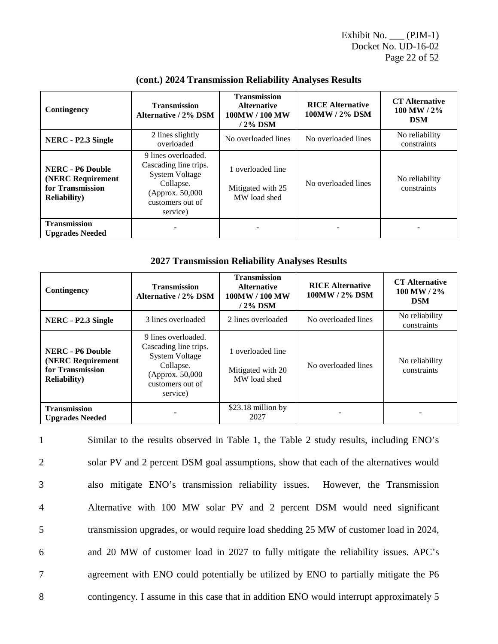Exhibit No. \_\_\_ (PJM-1) Docket No. UD-16-02 Page 22 of 52

| Contingency                                                                              | <b>Transmission</b><br>Alternative / 2% DSM                                                                                            | <b>Transmission</b><br><b>Alternative</b><br>100MW / 100 MW<br>/ 2% DSM | <b>RICE Alternative</b><br>100MW / 2% DSM | <b>CT</b> Alternative<br>$100$ MW / $2\%$<br><b>DSM</b> |
|------------------------------------------------------------------------------------------|----------------------------------------------------------------------------------------------------------------------------------------|-------------------------------------------------------------------------|-------------------------------------------|---------------------------------------------------------|
| NERC - P2.3 Single                                                                       | 2 lines slightly<br>overloaded                                                                                                         | No overloaded lines                                                     | No overloaded lines                       | No reliability<br>constraints                           |
| <b>NERC</b> - P6 Double<br>(NERC Requirement<br>for Transmission<br><b>Reliability</b> ) | 9 lines overloaded.<br>Cascading line trips.<br><b>System Voltage</b><br>Collapse.<br>(Approx. 50,000)<br>customers out of<br>service) | 1 overloaded line<br>Mitigated with 25<br>MW load shed                  | No overloaded lines                       | No reliability<br>constraints                           |
| <b>Transmission</b><br><b>Upgrades Needed</b>                                            |                                                                                                                                        |                                                                         |                                           |                                                         |

### **(cont.) 2024 Transmission Reliability Analyses Results**

### **2027 Transmission Reliability Analyses Results**

| Contingency                                                                              | <b>Transmission</b><br><b>Alternative / 2% DSM</b>                                                                                     | <b>Transmission</b><br><b>Alternative</b><br>100MW / 100 MW<br>/ 2% DSM | <b>RICE Alternative</b><br>100MW / 2% DSM | <b>CT</b> Alternative<br>$100$ MW / $2\%$<br><b>DSM</b> |
|------------------------------------------------------------------------------------------|----------------------------------------------------------------------------------------------------------------------------------------|-------------------------------------------------------------------------|-------------------------------------------|---------------------------------------------------------|
| NERC - P2.3 Single                                                                       | 3 lines overloaded                                                                                                                     | 2 lines overloaded                                                      | No overloaded lines                       | No reliability<br>constraints                           |
| <b>NERC</b> - P6 Double<br>(NERC Requirement<br>for Transmission<br><b>Reliability</b> ) | 9 lines overloaded.<br>Cascading line trips.<br><b>System Voltage</b><br>Collapse.<br>(Approx. 50,000)<br>customers out of<br>service) | 1 overloaded line<br>Mitigated with 20<br>MW load shed                  | No overloaded lines                       | No reliability<br>constraints                           |
| <b>Transmission</b><br><b>Upgrades Needed</b>                                            |                                                                                                                                        | \$23.18 million by<br>2027                                              |                                           |                                                         |

 Similar to the results observed in Table 1, the Table 2 study results, including ENO's solar PV and 2 percent DSM goal assumptions, show that each of the alternatives would also mitigate ENO's transmission reliability issues. However, the Transmission Alternative with 100 MW solar PV and 2 percent DSM would need significant transmission upgrades, or would require load shedding 25 MW of customer load in 2024, and 20 MW of customer load in 2027 to fully mitigate the reliability issues. APC's agreement with ENO could potentially be utilized by ENO to partially mitigate the P6 contingency. I assume in this case that in addition ENO would interrupt approximately 5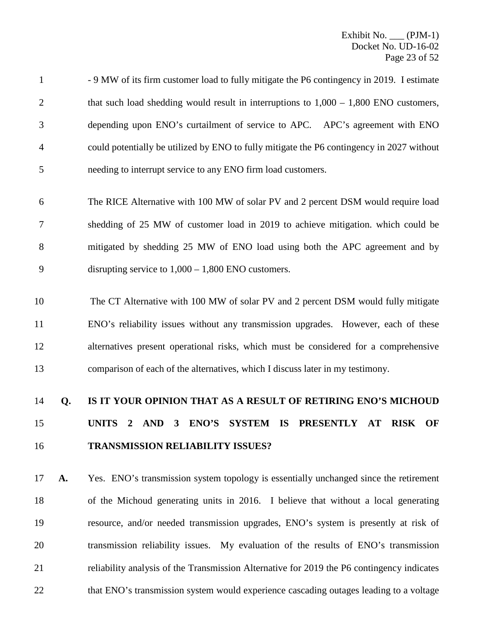- 9 MW of its firm customer load to fully mitigate the P6 contingency in 2019. I estimate 2 that such load shedding would result in interruptions to  $1,000 - 1,800$  ENO customers, depending upon ENO's curtailment of service to APC. APC's agreement with ENO could potentially be utilized by ENO to fully mitigate the P6 contingency in 2027 without needing to interrupt service to any ENO firm load customers.
- The RICE Alternative with 100 MW of solar PV and 2 percent DSM would require load shedding of 25 MW of customer load in 2019 to achieve mitigation. which could be mitigated by shedding 25 MW of ENO load using both the APC agreement and by disrupting service to 1,000 – 1,800 ENO customers.
- 10 The CT Alternative with 100 MW of solar PV and 2 percent DSM would fully mitigate ENO's reliability issues without any transmission upgrades. However, each of these alternatives present operational risks, which must be considered for a comprehensive comparison of each of the alternatives, which I discuss later in my testimony.

# **Q. IS IT YOUR OPINION THAT AS A RESULT OF RETIRING ENO'S MICHOUD UNITS 2 AND 3 ENO'S SYSTEM IS PRESENTLY AT RISK OF TRANSMISSION RELIABILITY ISSUES?**

 **A.** Yes. ENO's transmission system topology is essentially unchanged since the retirement of the Michoud generating units in 2016. I believe that without a local generating resource, and/or needed transmission upgrades, ENO's system is presently at risk of transmission reliability issues. My evaluation of the results of ENO's transmission reliability analysis of the Transmission Alternative for 2019 the P6 contingency indicates 22 that ENO's transmission system would experience cascading outages leading to a voltage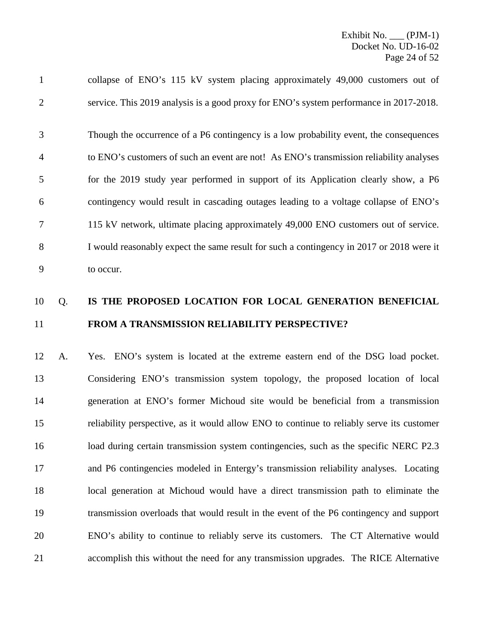collapse of ENO's 115 kV system placing approximately 49,000 customers out of service. This 2019 analysis is a good proxy for ENO's system performance in 2017-2018.

 Though the occurrence of a P6 contingency is a low probability event, the consequences to ENO's customers of such an event are not! As ENO's transmission reliability analyses for the 2019 study year performed in support of its Application clearly show, a P6 contingency would result in cascading outages leading to a voltage collapse of ENO's 115 kV network, ultimate placing approximately 49,000 ENO customers out of service. I would reasonably expect the same result for such a contingency in 2017 or 2018 were it to occur.

# Q. **IS THE PROPOSED LOCATION FOR LOCAL GENERATION BENEFICIAL FROM A TRANSMISSION RELIABILITY PERSPECTIVE?**

 A. Yes. ENO's system is located at the extreme eastern end of the DSG load pocket. Considering ENO's transmission system topology, the proposed location of local generation at ENO's former Michoud site would be beneficial from a transmission reliability perspective, as it would allow ENO to continue to reliably serve its customer load during certain transmission system contingencies, such as the specific NERC P2.3 and P6 contingencies modeled in Entergy's transmission reliability analyses. Locating local generation at Michoud would have a direct transmission path to eliminate the transmission overloads that would result in the event of the P6 contingency and support ENO's ability to continue to reliably serve its customers. The CT Alternative would accomplish this without the need for any transmission upgrades. The RICE Alternative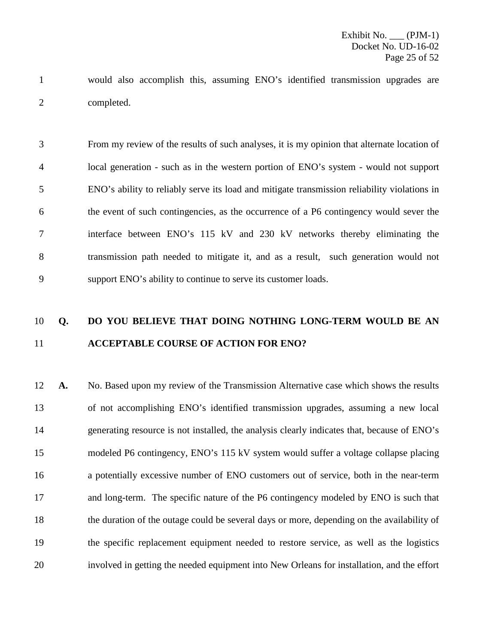would also accomplish this, assuming ENO's identified transmission upgrades are completed.

 From my review of the results of such analyses, it is my opinion that alternate location of local generation - such as in the western portion of ENO's system - would not support ENO's ability to reliably serve its load and mitigate transmission reliability violations in the event of such contingencies, as the occurrence of a P6 contingency would sever the interface between ENO's 115 kV and 230 kV networks thereby eliminating the transmission path needed to mitigate it, and as a result, such generation would not support ENO's ability to continue to serve its customer loads.

# **Q. DO YOU BELIEVE THAT DOING NOTHING LONG-TERM WOULD BE AN ACCEPTABLE COURSE OF ACTION FOR ENO?**

 **A.** No. Based upon my review of the Transmission Alternative case which shows the results of not accomplishing ENO's identified transmission upgrades, assuming a new local generating resource is not installed, the analysis clearly indicates that, because of ENO's modeled P6 contingency, ENO's 115 kV system would suffer a voltage collapse placing a potentially excessive number of ENO customers out of service, both in the near-term and long-term. The specific nature of the P6 contingency modeled by ENO is such that the duration of the outage could be several days or more, depending on the availability of the specific replacement equipment needed to restore service, as well as the logistics involved in getting the needed equipment into New Orleans for installation, and the effort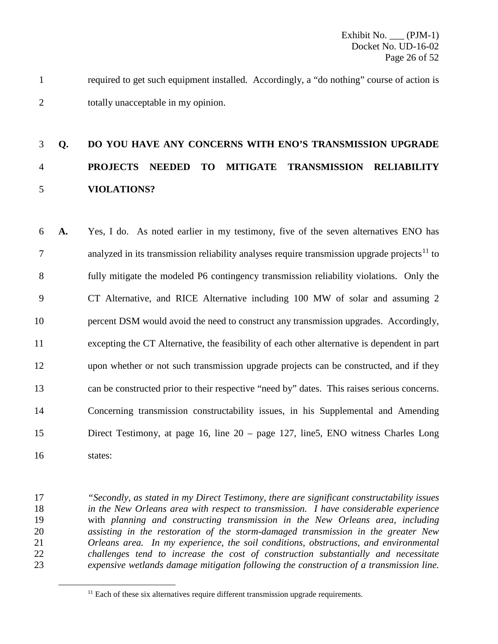required to get such equipment installed. Accordingly, a "do nothing" course of action is totally unacceptable in my opinion.

# **Q. DO YOU HAVE ANY CONCERNS WITH ENO'S TRANSMISSION UPGRADE PROJECTS NEEDED TO MITIGATE TRANSMISSION RELIABILITY VIOLATIONS?**

 **A.** Yes, I do. As noted earlier in my testimony, five of the seven alternatives ENO has analyzed in its transmission reliability analyses require transmission upgrade projects<sup>[11](#page-26-0)</sup> to fully mitigate the modeled P6 contingency transmission reliability violations. Only the CT Alternative, and RICE Alternative including 100 MW of solar and assuming 2 percent DSM would avoid the need to construct any transmission upgrades. Accordingly, excepting the CT Alternative, the feasibility of each other alternative is dependent in part upon whether or not such transmission upgrade projects can be constructed, and if they can be constructed prior to their respective "need by" dates. This raises serious concerns. Concerning transmission constructability issues, in his Supplemental and Amending Direct Testimony, at page 16, line 20 – page 127, line5, ENO witness Charles Long states:

 *"Secondly, as stated in my Direct Testimony, there are significant constructability issues in the New Orleans area with respect to transmission. I have considerable experience* with *planning and constructing transmission in the New Orleans area, including assisting in the restoration of the storm-damaged transmission in the greater New Orleans area. In my experience, the soil conditions, obstructions, and environmental challenges tend to increase the cost of construction substantially and necessitate expensive wetlands damage mitigation following the construction of a transmission line.* 

<span id="page-26-0"></span><sup>&</sup>lt;sup>11</sup> Each of these six alternatives require different transmission upgrade requirements.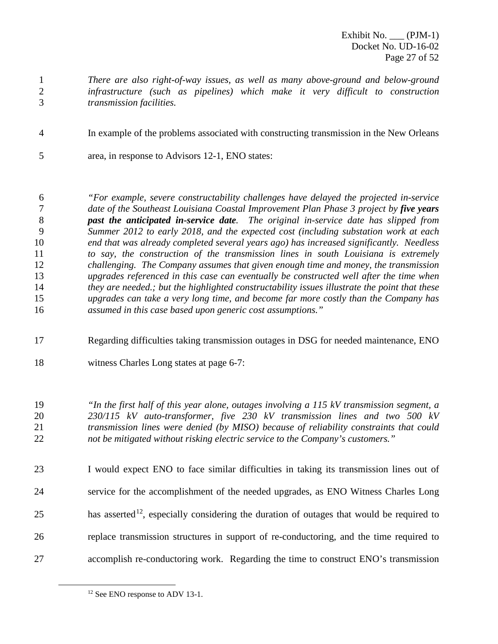Exhibit No. (PJM-1) Docket No. UD-16-02 Page 27 of 52

- *There are also right-of-way issues, as well as many above-ground and below-ground infrastructure (such as pipelines) which make it very difficult to construction transmission facilities.*
- In example of the problems associated with constructing transmission in the New Orleans
- area, in response to Advisors 12-1, ENO states:

 *"For example, severe constructability challenges have delayed the projected in-service date of the Southeast Louisiana Coastal Improvement Plan Phase 3 project by five years past the anticipated in-service date. The original in-service date has slipped from Summer 2012 to early 2018, and the expected cost (including substation work at each end that was already completed several years ago) has increased significantly. Needless to say, the construction of the transmission lines in south Louisiana is extremely challenging. The Company assumes that given enough time and money, the transmission upgrades referenced in this case can eventually be constructed well after the time when they are needed.; but the highlighted constructability issues illustrate the point that these upgrades can take a very long time, and become far more costly than the Company has assumed in this case based upon generic cost assumptions."*

- Regarding difficulties taking transmission outages in DSG for needed maintenance, ENO
- witness Charles Long states at page 6-7:

 *"In the first half of this year alone, outages involving a 115 kV transmission segment, a 230/115 kV auto-transformer, five 230 kV transmission lines and two 500 kV transmission lines were denied (by MISO) because of reliability constraints that could not be mitigated without risking electric service to the Company's customers."* 

 I would expect ENO to face similar difficulties in taking its transmission lines out of service for the accomplishment of the needed upgrades, as ENO Witness Charles Long has asserted<sup>[12](#page-27-0)</sup>, especially considering the duration of outages that would be required to replace transmission structures in support of re-conductoring, and the time required to accomplish re-conductoring work. Regarding the time to construct ENO's transmission

<span id="page-27-0"></span><sup>&</sup>lt;sup>12</sup> See ENO response to ADV 13-1.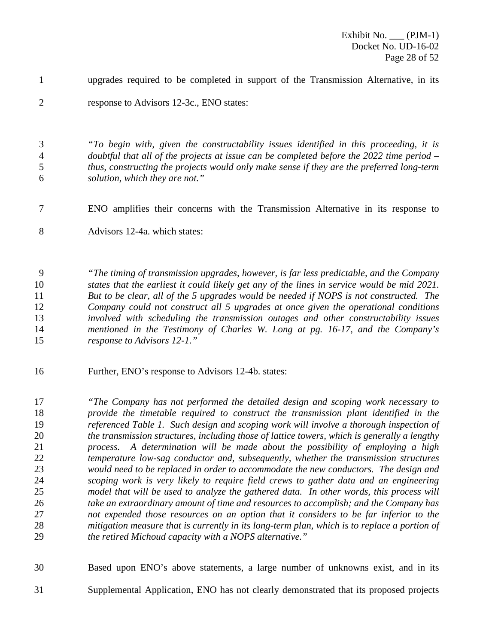upgrades required to be completed in support of the Transmission Alternative, in its

response to Advisors 12-3c., ENO states:

 *"To begin with, given the constructability issues identified in this proceeding, it is doubtful that all of the projects at issue can be completed before the 2022 time period – thus, constructing the projects would only make sense if they are the preferred long-term solution, which they are not."*

- ENO amplifies their concerns with the Transmission Alternative in its response to
- Advisors 12-4a. which states:

 *"The timing of transmission upgrades, however, is far less predictable, and the Company states that the earliest it could likely get any of the lines in service would be mid 2021. But to be clear, all of the 5 upgrades would be needed if NOPS is not constructed. The Company could not construct all 5 upgrades at once given the operational conditions involved with scheduling the transmission outages and other constructability issues mentioned in the Testimony of Charles W. Long at pg. 16-17, and the Company's response to Advisors 12-1."*

Further, ENO's response to Advisors 12-4b. states:

 *"The Company has not performed the detailed design and scoping work necessary to provide the timetable required to construct the transmission plant identified in the referenced Table 1. Such design and scoping work will involve a thorough inspection of the transmission structures, including those of lattice towers, which is generally a lengthy process. A determination will be made about the possibility of employing a high temperature low-sag conductor and, subsequently, whether the transmission structures would need to be replaced in order to accommodate the new conductors. The design and scoping work is very likely to require field crews to gather data and an engineering model that will be used to analyze the gathered data. In other words, this process will take an extraordinary amount of time and resources to accomplish; and the Company has not expended those resources on an option that it considers to be far inferior to the mitigation measure that is currently in its long-term plan, which is to replace a portion of the retired Michoud capacity with a NOPS alternative."*

Based upon ENO's above statements, a large number of unknowns exist, and in its

Supplemental Application, ENO has not clearly demonstrated that its proposed projects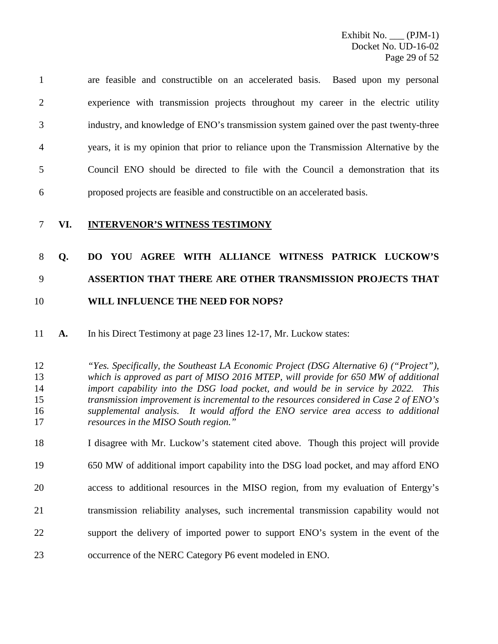are feasible and constructible on an accelerated basis. Based upon my personal experience with transmission projects throughout my career in the electric utility industry, and knowledge of ENO's transmission system gained over the past twenty-three years, it is my opinion that prior to reliance upon the Transmission Alternative by the Council ENO should be directed to file with the Council a demonstration that its proposed projects are feasible and constructible on an accelerated basis.

## **VI. INTERVENOR'S WITNESS TESTIMONY**

# **Q. DO YOU AGREE WITH ALLIANCE WITNESS PATRICK LUCKOW'S ASSERTION THAT THERE ARE OTHER TRANSMISSION PROJECTS THAT WILL INFLUENCE THE NEED FOR NOPS?**

**A.** In his Direct Testimony at page 23 lines 12-17, Mr. Luckow states:

## *"Yes. Specifically, the Southeast LA Economic Project (DSG Alternative 6) ("Project"), which is approved as part of MISO 2016 MTEP, will provide for 650 MW of additional import capability into the DSG load pocket, and would be in service by 2022. This transmission improvement is incremental to the resources considered in Case 2 of ENO's supplemental analysis. It would afford the ENO service area access to additional resources in the MISO South region."*

 I disagree with Mr. Luckow's statement cited above. Though this project will provide 650 MW of additional import capability into the DSG load pocket, and may afford ENO access to additional resources in the MISO region, from my evaluation of Entergy's transmission reliability analyses, such incremental transmission capability would not support the delivery of imported power to support ENO's system in the event of the occurrence of the NERC Category P6 event modeled in ENO.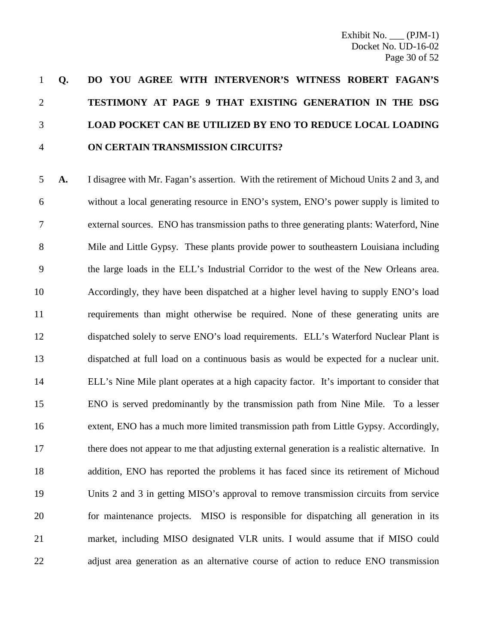# **Q. DO YOU AGREE WITH INTERVENOR'S WITNESS ROBERT FAGAN'S TESTIMONY AT PAGE 9 THAT EXISTING GENERATION IN THE DSG LOAD POCKET CAN BE UTILIZED BY ENO TO REDUCE LOCAL LOADING ON CERTAIN TRANSMISSION CIRCUITS?**

 **A.** I disagree with Mr. Fagan's assertion. With the retirement of Michoud Units 2 and 3, and without a local generating resource in ENO's system, ENO's power supply is limited to external sources. ENO has transmission paths to three generating plants: Waterford, Nine Mile and Little Gypsy. These plants provide power to southeastern Louisiana including the large loads in the ELL's Industrial Corridor to the west of the New Orleans area. Accordingly, they have been dispatched at a higher level having to supply ENO's load requirements than might otherwise be required. None of these generating units are dispatched solely to serve ENO's load requirements. ELL's Waterford Nuclear Plant is dispatched at full load on a continuous basis as would be expected for a nuclear unit. ELL's Nine Mile plant operates at a high capacity factor. It's important to consider that ENO is served predominantly by the transmission path from Nine Mile. To a lesser extent, ENO has a much more limited transmission path from Little Gypsy. Accordingly, there does not appear to me that adjusting external generation is a realistic alternative. In addition, ENO has reported the problems it has faced since its retirement of Michoud Units 2 and 3 in getting MISO's approval to remove transmission circuits from service for maintenance projects. MISO is responsible for dispatching all generation in its market, including MISO designated VLR units. I would assume that if MISO could adjust area generation as an alternative course of action to reduce ENO transmission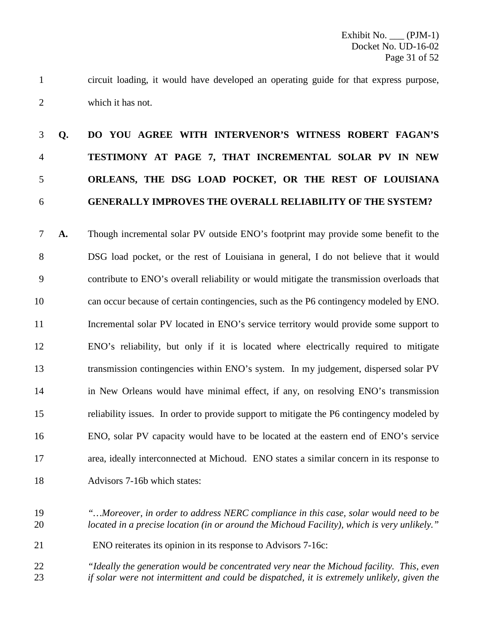circuit loading, it would have developed an operating guide for that express purpose, which it has not.

# **Q. DO YOU AGREE WITH INTERVENOR'S WITNESS ROBERT FAGAN'S TESTIMONY AT PAGE 7, THAT INCREMENTAL SOLAR PV IN NEW ORLEANS, THE DSG LOAD POCKET, OR THE REST OF LOUISIANA GENERALLY IMPROVES THE OVERALL RELIABILITY OF THE SYSTEM?**

 **A.** Though incremental solar PV outside ENO's footprint may provide some benefit to the DSG load pocket, or the rest of Louisiana in general, I do not believe that it would contribute to ENO's overall reliability or would mitigate the transmission overloads that can occur because of certain contingencies, such as the P6 contingency modeled by ENO. 11 Incremental solar PV located in ENO's service territory would provide some support to ENO's reliability, but only if it is located where electrically required to mitigate transmission contingencies within ENO's system. In my judgement, dispersed solar PV in New Orleans would have minimal effect, if any, on resolving ENO's transmission reliability issues. In order to provide support to mitigate the P6 contingency modeled by ENO, solar PV capacity would have to be located at the eastern end of ENO's service area, ideally interconnected at Michoud. ENO states a similar concern in its response to Advisors 7-16b which states:

- *"…Moreover, in order to address NERC compliance in this case, solar would need to be located in a precise location (in or around the Michoud Facility), which is very unlikely."*
- ENO reiterates its opinion in its response to Advisors 7-16c:
- *"Ideally the generation would be concentrated very near the Michoud facility. This, even if solar were not intermittent and could be dispatched, it is extremely unlikely, given the*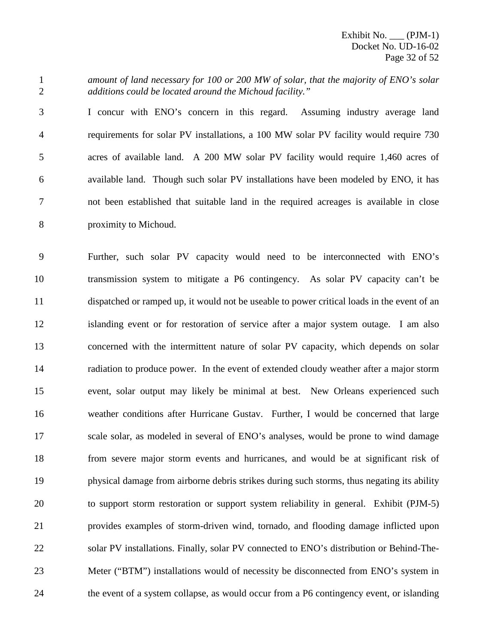Exhibit No. \_\_\_ (PJM-1) Docket No. UD-16-02 Page 32 of 52

 *amount of land necessary for 100 or 200 MW of solar, that the majority of ENO's solar additions could be located around the Michoud facility."*

 I concur with ENO's concern in this regard. Assuming industry average land requirements for solar PV installations, a 100 MW solar PV facility would require 730 acres of available land. A 200 MW solar PV facility would require 1,460 acres of available land. Though such solar PV installations have been modeled by ENO, it has not been established that suitable land in the required acreages is available in close proximity to Michoud.

 Further, such solar PV capacity would need to be interconnected with ENO's transmission system to mitigate a P6 contingency. As solar PV capacity can't be dispatched or ramped up, it would not be useable to power critical loads in the event of an islanding event or for restoration of service after a major system outage. I am also concerned with the intermittent nature of solar PV capacity, which depends on solar radiation to produce power. In the event of extended cloudy weather after a major storm event, solar output may likely be minimal at best. New Orleans experienced such weather conditions after Hurricane Gustav. Further, I would be concerned that large scale solar, as modeled in several of ENO's analyses, would be prone to wind damage from severe major storm events and hurricanes, and would be at significant risk of physical damage from airborne debris strikes during such storms, thus negating its ability to support storm restoration or support system reliability in general. Exhibit (PJM-5) provides examples of storm-driven wind, tornado, and flooding damage inflicted upon 22 solar PV installations. Finally, solar PV connected to ENO's distribution or Behind-The- Meter ("BTM") installations would of necessity be disconnected from ENO's system in the event of a system collapse, as would occur from a P6 contingency event, or islanding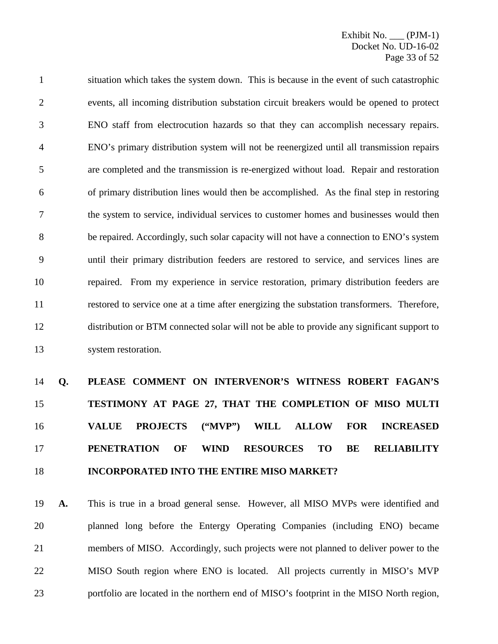situation which takes the system down. This is because in the event of such catastrophic events, all incoming distribution substation circuit breakers would be opened to protect ENO staff from electrocution hazards so that they can accomplish necessary repairs. ENO's primary distribution system will not be reenergized until all transmission repairs are completed and the transmission is re-energized without load. Repair and restoration of primary distribution lines would then be accomplished. As the final step in restoring the system to service, individual services to customer homes and businesses would then be repaired. Accordingly, such solar capacity will not have a connection to ENO's system until their primary distribution feeders are restored to service, and services lines are repaired. From my experience in service restoration, primary distribution feeders are restored to service one at a time after energizing the substation transformers. Therefore, distribution or BTM connected solar will not be able to provide any significant support to system restoration.

# **Q. PLEASE COMMENT ON INTERVENOR'S WITNESS ROBERT FAGAN'S TESTIMONY AT PAGE 27, THAT THE COMPLETION OF MISO MULTI VALUE PROJECTS ("MVP") WILL ALLOW FOR INCREASED PENETRATION OF WIND RESOURCES TO BE RELIABILITY INCORPORATED INTO THE ENTIRE MISO MARKET?**

 **A.** This is true in a broad general sense. However, all MISO MVPs were identified and planned long before the Entergy Operating Companies (including ENO) became members of MISO. Accordingly, such projects were not planned to deliver power to the MISO South region where ENO is located. All projects currently in MISO's MVP portfolio are located in the northern end of MISO's footprint in the MISO North region,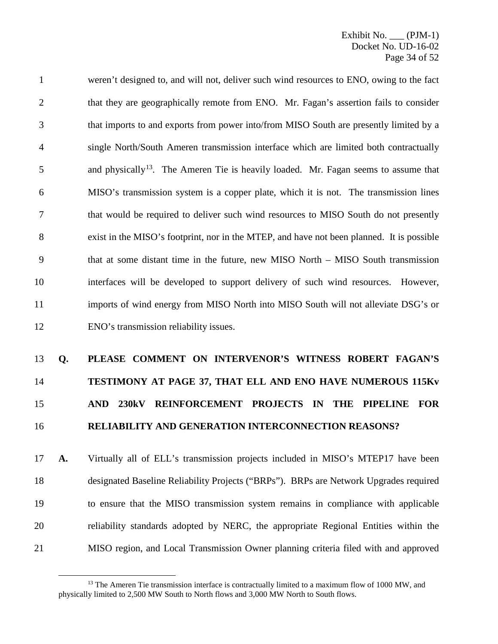weren't designed to, and will not, deliver such wind resources to ENO, owing to the fact 2 that they are geographically remote from ENO. Mr. Fagan's assertion fails to consider that imports to and exports from power into/from MISO South are presently limited by a single North/South Ameren transmission interface which are limited both contractually and physically<sup>[13](#page-34-0)</sup>. The Ameren Tie is heavily loaded. Mr. Fagan seems to assume that MISO's transmission system is a copper plate, which it is not. The transmission lines that would be required to deliver such wind resources to MISO South do not presently exist in the MISO's footprint, nor in the MTEP, and have not been planned. It is possible that at some distant time in the future, new MISO North – MISO South transmission interfaces will be developed to support delivery of such wind resources. However, imports of wind energy from MISO North into MISO South will not alleviate DSG's or ENO's transmission reliability issues.

# **Q. PLEASE COMMENT ON INTERVENOR'S WITNESS ROBERT FAGAN'S TESTIMONY AT PAGE 37, THAT ELL AND ENO HAVE NUMEROUS 115Kv AND 230kV REINFORCEMENT PROJECTS IN THE PIPELINE FOR RELIABILITY AND GENERATION INTERCONNECTION REASONS?**

 **A.** Virtually all of ELL's transmission projects included in MISO's MTEP17 have been designated Baseline Reliability Projects ("BRPs"). BRPs are Network Upgrades required to ensure that the MISO transmission system remains in compliance with applicable reliability standards adopted by NERC, the appropriate Regional Entities within the MISO region, and Local Transmission Owner planning criteria filed with and approved

<span id="page-34-0"></span> The Ameren Tie transmission interface is contractually limited to a maximum flow of 1000 MW, and physically limited to 2,500 MW South to North flows and 3,000 MW North to South flows.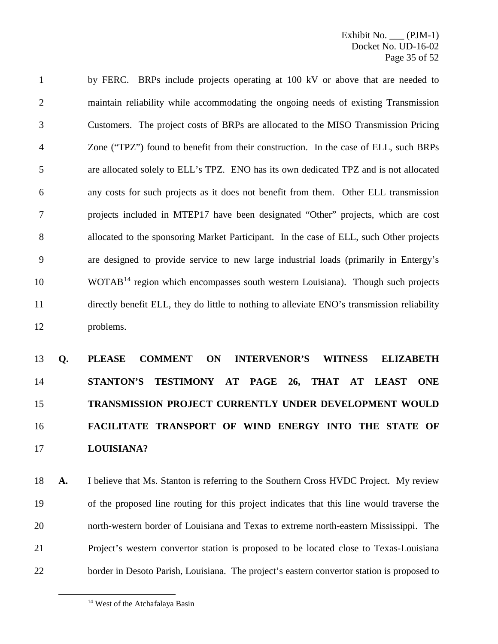by FERC. BRPs include projects operating at 100 kV or above that are needed to maintain reliability while accommodating the ongoing needs of existing Transmission Customers. The project costs of BRPs are allocated to the MISO Transmission Pricing Zone ("TPZ") found to benefit from their construction. In the case of ELL, such BRPs are allocated solely to ELL's TPZ. ENO has its own dedicated TPZ and is not allocated any costs for such projects as it does not benefit from them. Other ELL transmission projects included in MTEP17 have been designated "Other" projects, which are cost allocated to the sponsoring Market Participant. In the case of ELL, such Other projects are designed to provide service to new large industrial loads (primarily in Entergy's WOTAB<sup>[14](#page-35-0)</sup> region which encompasses south western Louisiana). Though such projects directly benefit ELL, they do little to nothing to alleviate ENO's transmission reliability problems.

# **Q. PLEASE COMMENT ON INTERVENOR'S WITNESS ELIZABETH STANTON'S TESTIMONY AT PAGE 26, THAT AT LEAST ONE TRANSMISSION PROJECT CURRENTLY UNDER DEVELOPMENT WOULD FACILITATE TRANSPORT OF WIND ENERGY INTO THE STATE OF LOUISIANA?**

 **A.** I believe that Ms. Stanton is referring to the Southern Cross HVDC Project. My review of the proposed line routing for this project indicates that this line would traverse the north-western border of Louisiana and Texas to extreme north-eastern Mississippi. The Project's western convertor station is proposed to be located close to Texas-Louisiana border in Desoto Parish, Louisiana. The project's eastern convertor station is proposed to

<span id="page-35-0"></span><sup>&</sup>lt;sup>14</sup> West of the Atchafalaya Basin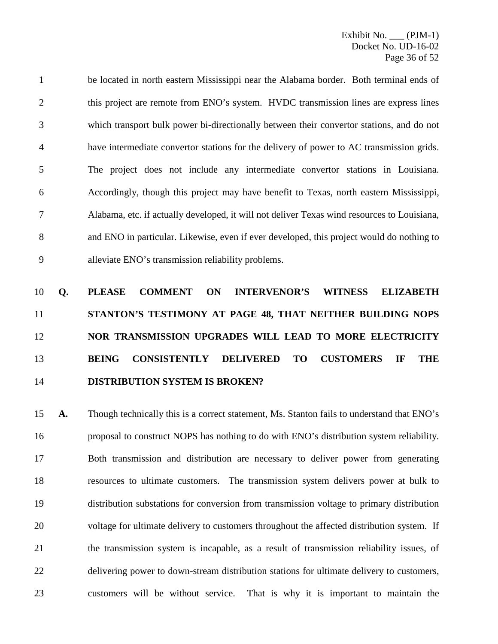be located in north eastern Mississippi near the Alabama border. Both terminal ends of 2 this project are remote from ENO's system. HVDC transmission lines are express lines which transport bulk power bi-directionally between their convertor stations, and do not have intermediate convertor stations for the delivery of power to AC transmission grids. The project does not include any intermediate convertor stations in Louisiana. Accordingly, though this project may have benefit to Texas, north eastern Mississippi, Alabama, etc. if actually developed, it will not deliver Texas wind resources to Louisiana, and ENO in particular. Likewise, even if ever developed, this project would do nothing to alleviate ENO's transmission reliability problems.

# **Q. PLEASE COMMENT ON INTERVENOR'S WITNESS ELIZABETH STANTON'S TESTIMONY AT PAGE 48, THAT NEITHER BUILDING NOPS NOR TRANSMISSION UPGRADES WILL LEAD TO MORE ELECTRICITY BEING CONSISTENTLY DELIVERED TO CUSTOMERS IF THE DISTRIBUTION SYSTEM IS BROKEN?**

 **A.** Though technically this is a correct statement, Ms. Stanton fails to understand that ENO's proposal to construct NOPS has nothing to do with ENO's distribution system reliability. Both transmission and distribution are necessary to deliver power from generating resources to ultimate customers. The transmission system delivers power at bulk to distribution substations for conversion from transmission voltage to primary distribution voltage for ultimate delivery to customers throughout the affected distribution system. If the transmission system is incapable, as a result of transmission reliability issues, of delivering power to down-stream distribution stations for ultimate delivery to customers, customers will be without service. That is why it is important to maintain the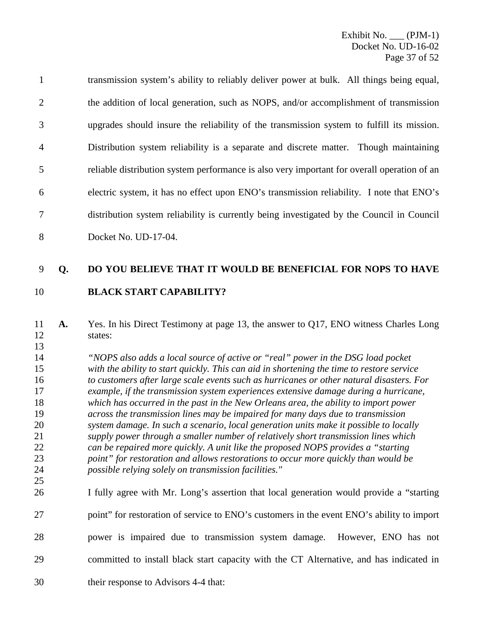transmission system's ability to reliably deliver power at bulk. All things being equal, 2 the addition of local generation, such as NOPS, and/or accomplishment of transmission upgrades should insure the reliability of the transmission system to fulfill its mission. Distribution system reliability is a separate and discrete matter. Though maintaining reliable distribution system performance is also very important for overall operation of an electric system, it has no effect upon ENO's transmission reliability. I note that ENO's distribution system reliability is currently being investigated by the Council in Council Docket No. UD-17-04.

## **Q. DO YOU BELIEVE THAT IT WOULD BE BENEFICIAL FOR NOPS TO HAVE**

## **BLACK START CAPABILITY?**

 **A.** Yes. In his Direct Testimony at page 13, the answer to Q17, ENO witness Charles Long states:

 *"NOPS also adds a local source of active or "real" power in the DSG load pocket with the ability to start quickly. This can aid in shortening the time to restore service to customers after large scale events such as hurricanes or other natural disasters. For example, if the transmission system experiences extensive damage during a hurricane, which has occurred in the past in the New Orleans area, the ability to import power across the transmission lines may be impaired for many days due to transmission system damage. In such a scenario, local generation units make it possible to locally supply power through a smaller number of relatively short transmission lines which can be repaired more quickly. A unit like the proposed NOPS provides a "starting point" for restoration and allows restorations to occur more quickly than would be possible relying solely on transmission facilities."*  

- I fully agree with Mr. Long's assertion that local generation would provide a "starting
- 27 point" for restoration of service to ENO's customers in the event ENO's ability to import
- power is impaired due to transmission system damage. However, ENO has not
- committed to install black start capacity with the CT Alternative, and has indicated in
- their response to Advisors 4-4 that: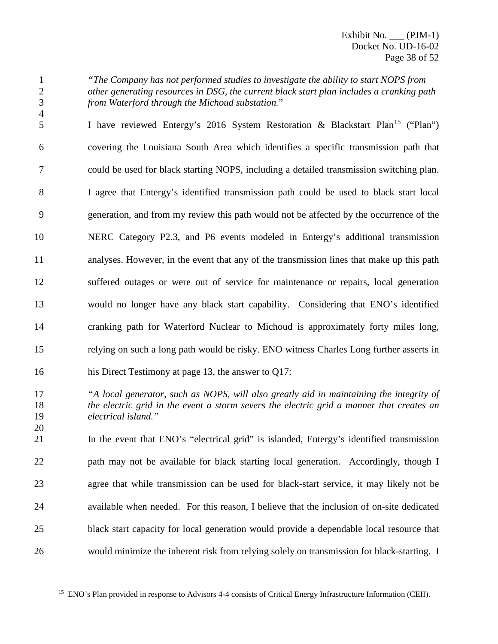*"The Company has not performed studies to investigate the ability to start NOPS from other generating resources in DSG, the current black start plan includes a cranking path from Waterford through the Michoud substation.*"

5 I have reviewed Entergy's 2016 System Restoration & Blackstart Plan<sup>[15](#page-38-0)</sup> ("Plan") covering the Louisiana South Area which identifies a specific transmission path that could be used for black starting NOPS, including a detailed transmission switching plan. I agree that Entergy's identified transmission path could be used to black start local generation, and from my review this path would not be affected by the occurrence of the NERC Category P2.3, and P6 events modeled in Entergy's additional transmission analyses. However, in the event that any of the transmission lines that make up this path suffered outages or were out of service for maintenance or repairs, local generation would no longer have any black start capability. Considering that ENO's identified cranking path for Waterford Nuclear to Michoud is approximately forty miles long, relying on such a long path would be risky. ENO witness Charles Long further asserts in

his Direct Testimony at page 13, the answer to Q17:

 *"A local generator, such as NOPS, will also greatly aid in maintaining the integrity of the electric grid in the event a storm severs the electric grid a manner that creates an electrical island."*

 In the event that ENO's "electrical grid" is islanded, Entergy's identified transmission 22 path may not be available for black starting local generation. Accordingly, though I agree that while transmission can be used for black-start service, it may likely not be available when needed. For this reason, I believe that the inclusion of on-site dedicated black start capacity for local generation would provide a dependable local resource that would minimize the inherent risk from relying solely on transmission for black-starting. I

<span id="page-38-0"></span><sup>&</sup>lt;sup>15</sup> ENO's Plan provided in response to Advisors 4-4 consists of Critical Energy Infrastructure Information (CEII).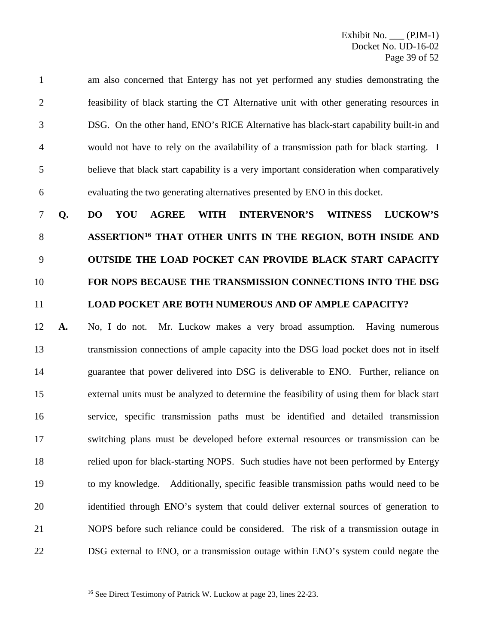am also concerned that Entergy has not yet performed any studies demonstrating the feasibility of black starting the CT Alternative unit with other generating resources in DSG. On the other hand, ENO's RICE Alternative has black-start capability built-in and would not have to rely on the availability of a transmission path for black starting. I believe that black start capability is a very important consideration when comparatively evaluating the two generating alternatives presented by ENO in this docket.

 **Q. DO YOU AGREE WITH INTERVENOR'S WITNESS LUCKOW'S ASSERTION[16](#page-39-0) THAT OTHER UNITS IN THE REGION, BOTH INSIDE AND OUTSIDE THE LOAD POCKET CAN PROVIDE BLACK START CAPACITY FOR NOPS BECAUSE THE TRANSMISSION CONNECTIONS INTO THE DSG LOAD POCKET ARE BOTH NUMEROUS AND OF AMPLE CAPACITY?**

 **A.** No, I do not. Mr. Luckow makes a very broad assumption. Having numerous transmission connections of ample capacity into the DSG load pocket does not in itself guarantee that power delivered into DSG is deliverable to ENO. Further, reliance on external units must be analyzed to determine the feasibility of using them for black start service, specific transmission paths must be identified and detailed transmission switching plans must be developed before external resources or transmission can be relied upon for black-starting NOPS. Such studies have not been performed by Entergy to my knowledge. Additionally, specific feasible transmission paths would need to be identified through ENO's system that could deliver external sources of generation to NOPS before such reliance could be considered. The risk of a transmission outage in DSG external to ENO, or a transmission outage within ENO's system could negate the

<span id="page-39-0"></span><sup>&</sup>lt;sup>16</sup> See Direct Testimony of Patrick W. Luckow at page 23, lines 22-23.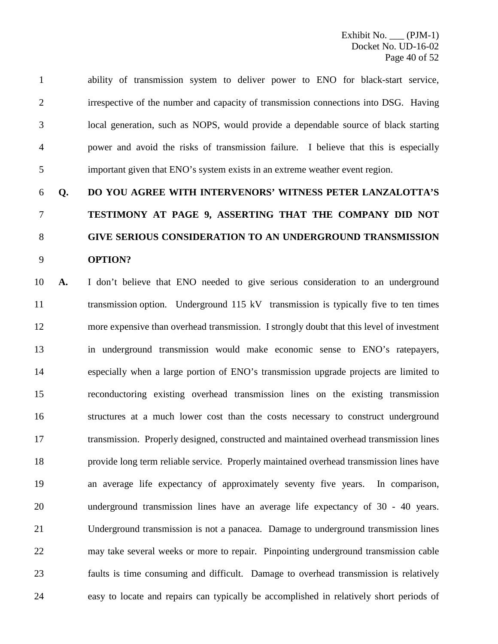ability of transmission system to deliver power to ENO for black-start service, irrespective of the number and capacity of transmission connections into DSG. Having local generation, such as NOPS, would provide a dependable source of black starting power and avoid the risks of transmission failure. I believe that this is especially important given that ENO's system exists in an extreme weather event region.

# **Q. DO YOU AGREE WITH INTERVENORS' WITNESS PETER LANZALOTTA'S TESTIMONY AT PAGE 9, ASSERTING THAT THE COMPANY DID NOT GIVE SERIOUS CONSIDERATION TO AN UNDERGROUND TRANSMISSION OPTION?**

 **A.** I don't believe that ENO needed to give serious consideration to an underground 11 transmission option. Underground 115 kV transmission is typically five to ten times more expensive than overhead transmission. I strongly doubt that this level of investment in underground transmission would make economic sense to ENO's ratepayers, especially when a large portion of ENO's transmission upgrade projects are limited to reconductoring existing overhead transmission lines on the existing transmission structures at a much lower cost than the costs necessary to construct underground transmission. Properly designed, constructed and maintained overhead transmission lines provide long term reliable service. Properly maintained overhead transmission lines have an average life expectancy of approximately seventy five years. In comparison, underground transmission lines have an average life expectancy of 30 - 40 years. Underground transmission is not a panacea. Damage to underground transmission lines may take several weeks or more to repair. Pinpointing underground transmission cable faults is time consuming and difficult. Damage to overhead transmission is relatively easy to locate and repairs can typically be accomplished in relatively short periods of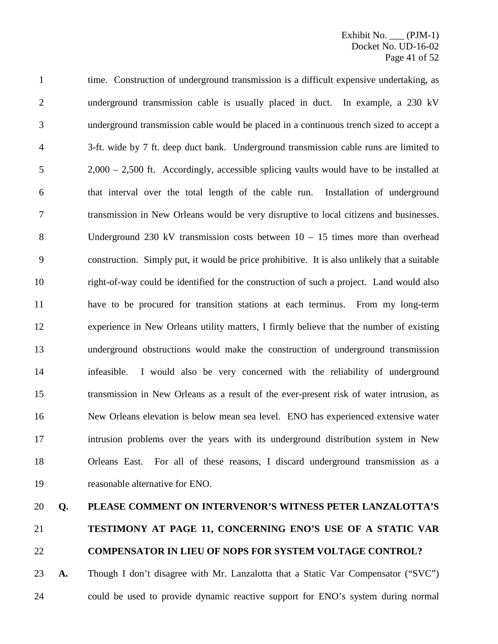1 time. Construction of underground transmission is a difficult expensive undertaking, as underground transmission cable is usually placed in duct. In example, a 230 kV underground transmission cable would be placed in a continuous trench sized to accept a 3-ft. wide by 7 ft. deep duct bank. Underground transmission cable runs are limited to 2,000 – 2,500 ft. Accordingly, accessible splicing vaults would have to be installed at that interval over the total length of the cable run. Installation of underground transmission in New Orleans would be very disruptive to local citizens and businesses. Underground 230 kV transmission costs between 10 – 15 times more than overhead construction. Simply put, it would be price prohibitive. It is also unlikely that a suitable right-of-way could be identified for the construction of such a project. Land would also have to be procured for transition stations at each terminus. From my long-term experience in New Orleans utility matters, I firmly believe that the number of existing underground obstructions would make the construction of underground transmission infeasible. I would also be very concerned with the reliability of underground transmission in New Orleans as a result of the ever-present risk of water intrusion, as New Orleans elevation is below mean sea level. ENO has experienced extensive water intrusion problems over the years with its underground distribution system in New Orleans East. For all of these reasons, I discard underground transmission as a reasonable alternative for ENO.

#### **Q. PLEASE COMMENT ON INTERVENOR'S WITNESS PETER LANZALOTTA'S**

# **TESTIMONY AT PAGE 11, CONCERNING ENO'S USE OF A STATIC VAR COMPENSATOR IN LIEU OF NOPS FOR SYSTEM VOLTAGE CONTROL?**

 **A.** Though I don't disagree with Mr. Lanzalotta that a Static Var Compensator ("SVC") could be used to provide dynamic reactive support for ENO's system during normal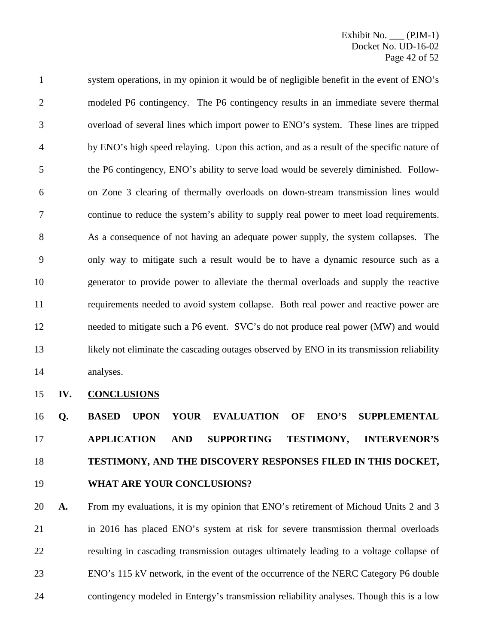system operations, in my opinion it would be of negligible benefit in the event of ENO's modeled P6 contingency. The P6 contingency results in an immediate severe thermal overload of several lines which import power to ENO's system. These lines are tripped by ENO's high speed relaying. Upon this action, and as a result of the specific nature of the P6 contingency, ENO's ability to serve load would be severely diminished. Follow- on Zone 3 clearing of thermally overloads on down-stream transmission lines would continue to reduce the system's ability to supply real power to meet load requirements. As a consequence of not having an adequate power supply, the system collapses. The only way to mitigate such a result would be to have a dynamic resource such as a generator to provide power to alleviate the thermal overloads and supply the reactive requirements needed to avoid system collapse. Both real power and reactive power are needed to mitigate such a P6 event. SVC's do not produce real power (MW) and would 13 likely not eliminate the cascading outages observed by ENO in its transmission reliability analyses.

## **IV. CONCLUSIONS**

 **Q. BASED UPON YOUR EVALUATION OF ENO'S SUPPLEMENTAL APPLICATION AND SUPPORTING TESTIMONY, INTERVENOR'S TESTIMONY, AND THE DISCOVERY RESPONSES FILED IN THIS DOCKET, WHAT ARE YOUR CONCLUSIONS?**

 **A.** From my evaluations, it is my opinion that ENO's retirement of Michoud Units 2 and 3 in 2016 has placed ENO's system at risk for severe transmission thermal overloads resulting in cascading transmission outages ultimately leading to a voltage collapse of ENO's 115 kV network, in the event of the occurrence of the NERC Category P6 double contingency modeled in Entergy's transmission reliability analyses. Though this is a low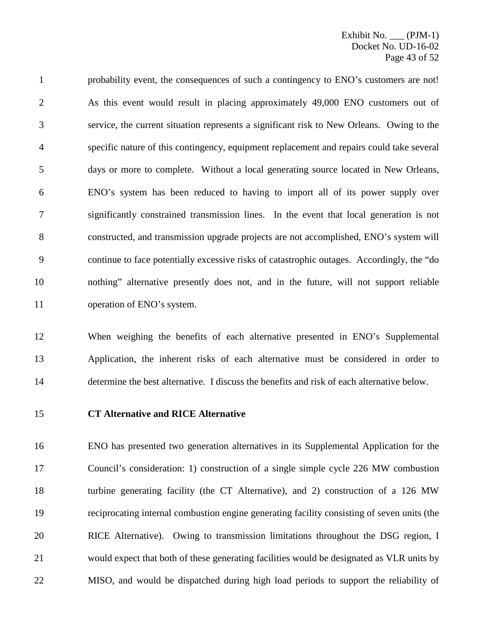probability event, the consequences of such a contingency to ENO's customers are not! As this event would result in placing approximately 49,000 ENO customers out of service, the current situation represents a significant risk to New Orleans. Owing to the specific nature of this contingency, equipment replacement and repairs could take several days or more to complete. Without a local generating source located in New Orleans, ENO's system has been reduced to having to import all of its power supply over significantly constrained transmission lines. In the event that local generation is not constructed, and transmission upgrade projects are not accomplished, ENO's system will continue to face potentially excessive risks of catastrophic outages. Accordingly, the "do nothing" alternative presently does not, and in the future, will not support reliable operation of ENO's system.

 When weighing the benefits of each alternative presented in ENO's Supplemental Application, the inherent risks of each alternative must be considered in order to determine the best alternative. I discuss the benefits and risk of each alternative below.

#### **CT Alternative and RICE Alternative**

 ENO has presented two generation alternatives in its Supplemental Application for the Council's consideration: 1) construction of a single simple cycle 226 MW combustion turbine generating facility (the CT Alternative), and 2) construction of a 126 MW reciprocating internal combustion engine generating facility consisting of seven units (the RICE Alternative). Owing to transmission limitations throughout the DSG region, I would expect that both of these generating facilities would be designated as VLR units by MISO, and would be dispatched during high load periods to support the reliability of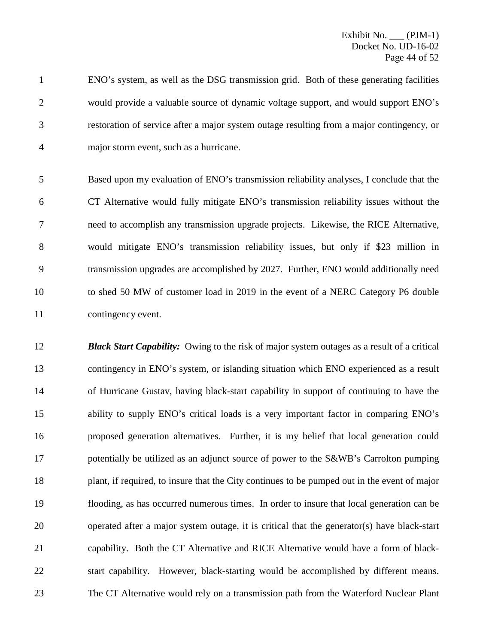ENO's system, as well as the DSG transmission grid. Both of these generating facilities would provide a valuable source of dynamic voltage support, and would support ENO's restoration of service after a major system outage resulting from a major contingency, or major storm event, such as a hurricane.

 Based upon my evaluation of ENO's transmission reliability analyses, I conclude that the CT Alternative would fully mitigate ENO's transmission reliability issues without the need to accomplish any transmission upgrade projects. Likewise, the RICE Alternative, would mitigate ENO's transmission reliability issues, but only if \$23 million in transmission upgrades are accomplished by 2027. Further, ENO would additionally need to shed 50 MW of customer load in 2019 in the event of a NERC Category P6 double contingency event.

 *Black Start Capability:* Owing to the risk of major system outages as a result of a critical contingency in ENO's system, or islanding situation which ENO experienced as a result of Hurricane Gustav, having black-start capability in support of continuing to have the ability to supply ENO's critical loads is a very important factor in comparing ENO's proposed generation alternatives. Further, it is my belief that local generation could 17 potentially be utilized as an adjunct source of power to the S&WB's Carrolton pumping plant, if required, to insure that the City continues to be pumped out in the event of major flooding, as has occurred numerous times. In order to insure that local generation can be operated after a major system outage, it is critical that the generator(s) have black-start capability. Both the CT Alternative and RICE Alternative would have a form of black- start capability. However, black-starting would be accomplished by different means. The CT Alternative would rely on a transmission path from the Waterford Nuclear Plant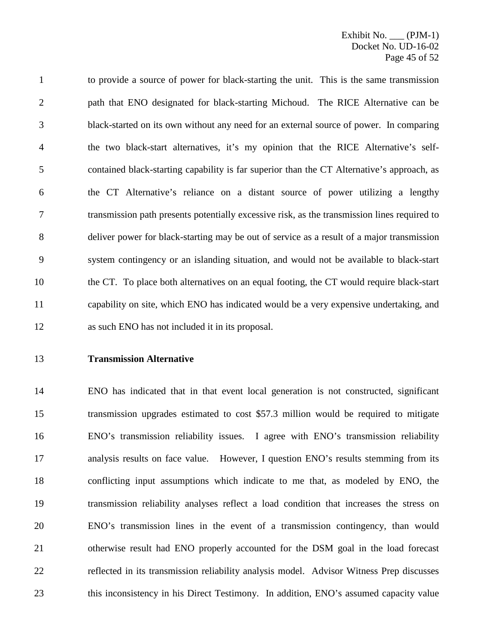to provide a source of power for black-starting the unit. This is the same transmission path that ENO designated for black-starting Michoud. The RICE Alternative can be black-started on its own without any need for an external source of power. In comparing the two black-start alternatives, it's my opinion that the RICE Alternative's self- contained black-starting capability is far superior than the CT Alternative's approach, as the CT Alternative's reliance on a distant source of power utilizing a lengthy transmission path presents potentially excessive risk, as the transmission lines required to deliver power for black-starting may be out of service as a result of a major transmission system contingency or an islanding situation, and would not be available to black-start the CT. To place both alternatives on an equal footing, the CT would require black-start capability on site, which ENO has indicated would be a very expensive undertaking, and as such ENO has not included it in its proposal.

## **Transmission Alternative**

 ENO has indicated that in that event local generation is not constructed, significant transmission upgrades estimated to cost \$57.3 million would be required to mitigate ENO's transmission reliability issues. I agree with ENO's transmission reliability analysis results on face value. However, I question ENO's results stemming from its conflicting input assumptions which indicate to me that, as modeled by ENO, the transmission reliability analyses reflect a load condition that increases the stress on ENO's transmission lines in the event of a transmission contingency, than would otherwise result had ENO properly accounted for the DSM goal in the load forecast reflected in its transmission reliability analysis model. Advisor Witness Prep discusses 23 this inconsistency in his Direct Testimony. In addition, ENO's assumed capacity value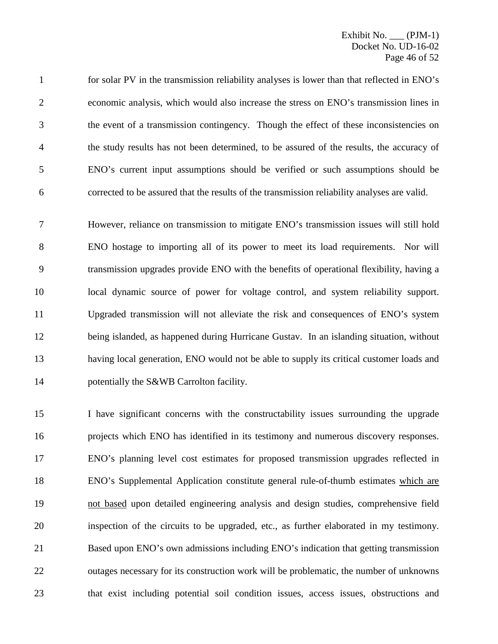for solar PV in the transmission reliability analyses is lower than that reflected in ENO's economic analysis, which would also increase the stress on ENO's transmission lines in the event of a transmission contingency. Though the effect of these inconsistencies on the study results has not been determined, to be assured of the results, the accuracy of ENO's current input assumptions should be verified or such assumptions should be corrected to be assured that the results of the transmission reliability analyses are valid.

 However, reliance on transmission to mitigate ENO's transmission issues will still hold ENO hostage to importing all of its power to meet its load requirements. Nor will transmission upgrades provide ENO with the benefits of operational flexibility, having a local dynamic source of power for voltage control, and system reliability support. Upgraded transmission will not alleviate the risk and consequences of ENO's system being islanded, as happened during Hurricane Gustav. In an islanding situation, without having local generation, ENO would not be able to supply its critical customer loads and 14 potentially the S&WB Carrolton facility.

 I have significant concerns with the constructability issues surrounding the upgrade projects which ENO has identified in its testimony and numerous discovery responses. ENO's planning level cost estimates for proposed transmission upgrades reflected in ENO's Supplemental Application constitute general rule-of-thumb estimates which are not based upon detailed engineering analysis and design studies, comprehensive field inspection of the circuits to be upgraded, etc., as further elaborated in my testimony. Based upon ENO's own admissions including ENO's indication that getting transmission outages necessary for its construction work will be problematic, the number of unknowns that exist including potential soil condition issues, access issues, obstructions and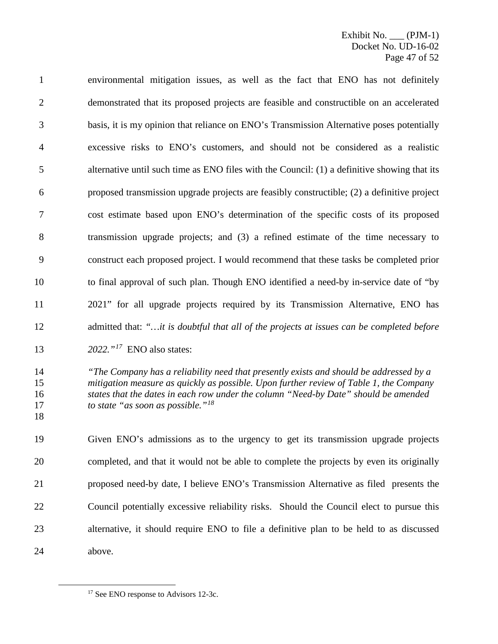environmental mitigation issues, as well as the fact that ENO has not definitely demonstrated that its proposed projects are feasible and constructible on an accelerated basis, it is my opinion that reliance on ENO's Transmission Alternative poses potentially excessive risks to ENO's customers, and should not be considered as a realistic alternative until such time as ENO files with the Council: (1) a definitive showing that its proposed transmission upgrade projects are feasibly constructible; (2) a definitive project cost estimate based upon ENO's determination of the specific costs of its proposed transmission upgrade projects; and (3) a refined estimate of the time necessary to construct each proposed project. I would recommend that these tasks be completed prior to final approval of such plan. Though ENO identified a need-by in-service date of "by 2021" for all upgrade projects required by its Transmission Alternative, ENO has admitted that: *"…it is doubtful that all of the projects at issues can be completed before* 

- 13 *2022.*  $\cdot$ <sup>[17](#page-47-0)</sup> **ENO** also states:
- *"The Company has a reliability need that presently exists and should be addressed by a mitigation measure as quickly as possible. Upon further review of Table 1, the Company states that the dates in each row under the column "Need-by Date" should be amended to state "as soon as possible."[18](#page-47-0)*
- 

 Given ENO's admissions as to the urgency to get its transmission upgrade projects completed, and that it would not be able to complete the projects by even its originally proposed need-by date, I believe ENO's Transmission Alternative as filed presents the Council potentially excessive reliability risks. Should the Council elect to pursue this alternative, it should require ENO to file a definitive plan to be held to as discussed above.

<span id="page-47-0"></span><sup>&</sup>lt;sup>17</sup> See ENO response to Advisors 12-3c.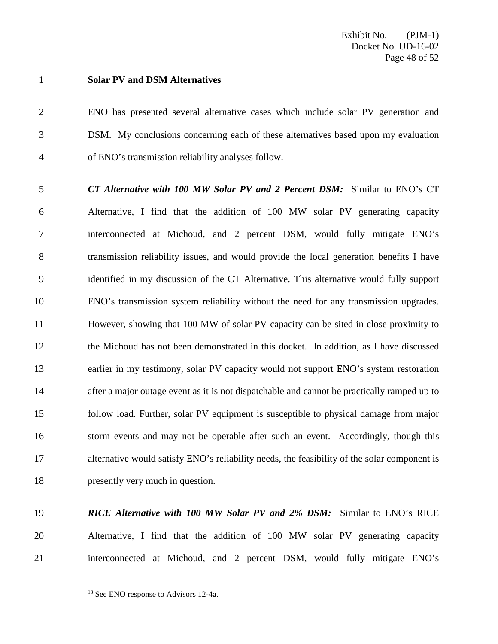## **Solar PV and DSM Alternatives**

 ENO has presented several alternative cases which include solar PV generation and DSM. My conclusions concerning each of these alternatives based upon my evaluation of ENO's transmission reliability analyses follow.

 *CT Alternative with 100 MW Solar PV and 2 Percent DSM:* Similar to ENO's CT Alternative, I find that the addition of 100 MW solar PV generating capacity interconnected at Michoud, and 2 percent DSM, would fully mitigate ENO's transmission reliability issues, and would provide the local generation benefits I have identified in my discussion of the CT Alternative. This alternative would fully support ENO's transmission system reliability without the need for any transmission upgrades. However, showing that 100 MW of solar PV capacity can be sited in close proximity to the Michoud has not been demonstrated in this docket. In addition, as I have discussed earlier in my testimony, solar PV capacity would not support ENO's system restoration after a major outage event as it is not dispatchable and cannot be practically ramped up to follow load. Further, solar PV equipment is susceptible to physical damage from major storm events and may not be operable after such an event. Accordingly, though this alternative would satisfy ENO's reliability needs, the feasibility of the solar component is presently very much in question.

# *RICE Alternative with 100 MW Solar PV and 2% DSM:* Similar to ENO's RICE Alternative, I find that the addition of 100 MW solar PV generating capacity interconnected at Michoud, and 2 percent DSM, would fully mitigate ENO's

<sup>&</sup>lt;sup>18</sup> See ENO response to Advisors 12-4a.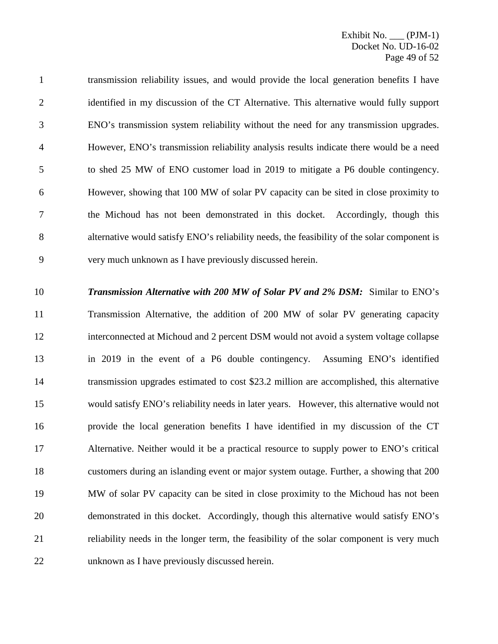transmission reliability issues, and would provide the local generation benefits I have 2 identified in my discussion of the CT Alternative. This alternative would fully support ENO's transmission system reliability without the need for any transmission upgrades. However, ENO's transmission reliability analysis results indicate there would be a need to shed 25 MW of ENO customer load in 2019 to mitigate a P6 double contingency. However, showing that 100 MW of solar PV capacity can be sited in close proximity to the Michoud has not been demonstrated in this docket. Accordingly, though this alternative would satisfy ENO's reliability needs, the feasibility of the solar component is very much unknown as I have previously discussed herein.

 *Transmission Alternative with 200 MW of Solar PV and 2% DSM:* Similar to ENO's Transmission Alternative, the addition of 200 MW of solar PV generating capacity interconnected at Michoud and 2 percent DSM would not avoid a system voltage collapse in 2019 in the event of a P6 double contingency. Assuming ENO's identified transmission upgrades estimated to cost \$23.2 million are accomplished, this alternative would satisfy ENO's reliability needs in later years. However, this alternative would not provide the local generation benefits I have identified in my discussion of the CT Alternative. Neither would it be a practical resource to supply power to ENO's critical customers during an islanding event or major system outage. Further, a showing that 200 MW of solar PV capacity can be sited in close proximity to the Michoud has not been demonstrated in this docket. Accordingly, though this alternative would satisfy ENO's reliability needs in the longer term, the feasibility of the solar component is very much unknown as I have previously discussed herein.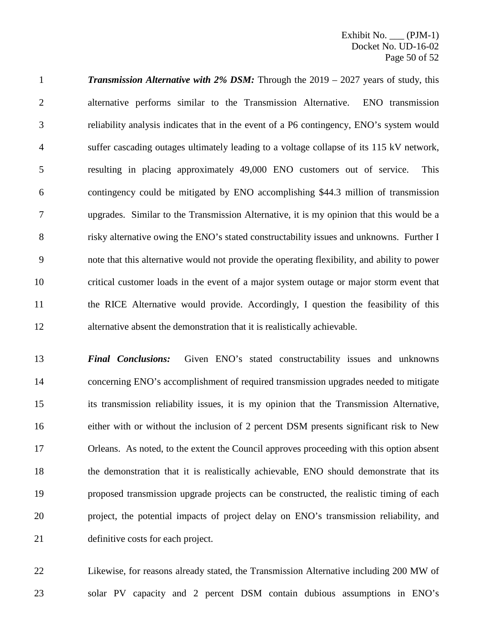*Transmission Alternative with 2% DSM:* Through the 2019 – 2027 years of study, this alternative performs similar to the Transmission Alternative. ENO transmission reliability analysis indicates that in the event of a P6 contingency, ENO's system would suffer cascading outages ultimately leading to a voltage collapse of its 115 kV network, resulting in placing approximately 49,000 ENO customers out of service. This contingency could be mitigated by ENO accomplishing \$44.3 million of transmission upgrades. Similar to the Transmission Alternative, it is my opinion that this would be a 8 risky alternative owing the ENO's stated constructability issues and unknowns. Further I note that this alternative would not provide the operating flexibility, and ability to power critical customer loads in the event of a major system outage or major storm event that the RICE Alternative would provide. Accordingly, I question the feasibility of this alternative absent the demonstration that it is realistically achievable.

 *Final Conclusions:* Given ENO's stated constructability issues and unknowns concerning ENO's accomplishment of required transmission upgrades needed to mitigate its transmission reliability issues, it is my opinion that the Transmission Alternative, either with or without the inclusion of 2 percent DSM presents significant risk to New Orleans. As noted, to the extent the Council approves proceeding with this option absent the demonstration that it is realistically achievable, ENO should demonstrate that its proposed transmission upgrade projects can be constructed, the realistic timing of each project, the potential impacts of project delay on ENO's transmission reliability, and definitive costs for each project.

 Likewise, for reasons already stated, the Transmission Alternative including 200 MW of solar PV capacity and 2 percent DSM contain dubious assumptions in ENO's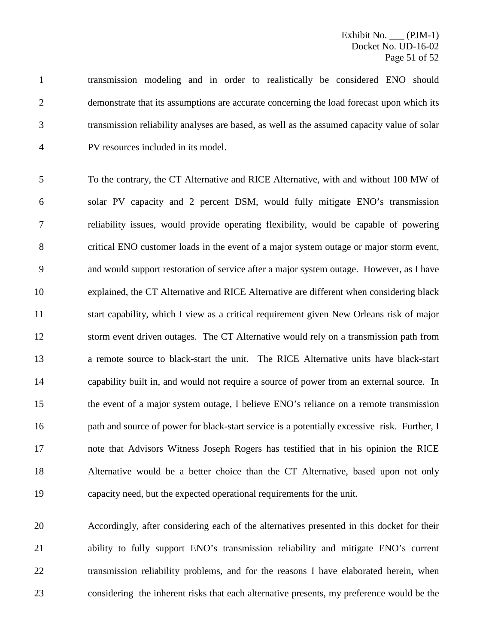transmission modeling and in order to realistically be considered ENO should demonstrate that its assumptions are accurate concerning the load forecast upon which its transmission reliability analyses are based, as well as the assumed capacity value of solar PV resources included in its model.

 To the contrary, the CT Alternative and RICE Alternative, with and without 100 MW of solar PV capacity and 2 percent DSM, would fully mitigate ENO's transmission reliability issues, would provide operating flexibility, would be capable of powering critical ENO customer loads in the event of a major system outage or major storm event, and would support restoration of service after a major system outage. However, as I have explained, the CT Alternative and RICE Alternative are different when considering black start capability, which I view as a critical requirement given New Orleans risk of major storm event driven outages. The CT Alternative would rely on a transmission path from a remote source to black-start the unit. The RICE Alternative units have black-start capability built in, and would not require a source of power from an external source. In the event of a major system outage, I believe ENO's reliance on a remote transmission path and source of power for black-start service is a potentially excessive risk. Further, I note that Advisors Witness Joseph Rogers has testified that in his opinion the RICE Alternative would be a better choice than the CT Alternative, based upon not only capacity need, but the expected operational requirements for the unit.

 Accordingly, after considering each of the alternatives presented in this docket for their ability to fully support ENO's transmission reliability and mitigate ENO's current 22 transmission reliability problems, and for the reasons I have elaborated herein, when considering the inherent risks that each alternative presents, my preference would be the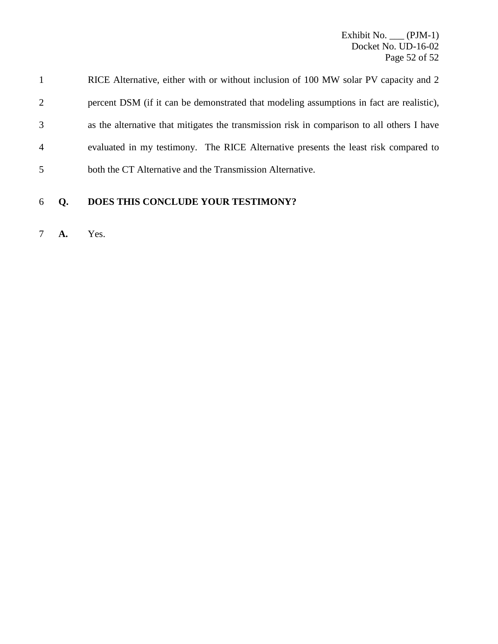Exhibit No. \_\_\_ (PJM-1) Docket No. UD-16-02 Page 52 of 52

|                | RICE Alternative, either with or without inclusion of 100 MW solar PV capacity and 2       |
|----------------|--------------------------------------------------------------------------------------------|
| $\overline{2}$ | percent DSM (if it can be demonstrated that modeling assumptions in fact are realistic),   |
| 3              | as the alternative that mitigates the transmission risk in comparison to all others I have |
| 4              | evaluated in my testimony. The RICE Alternative presents the least risk compared to        |
| 5              | both the CT Alternative and the Transmission Alternative.                                  |
|                |                                                                                            |

**Q. DOES THIS CONCLUDE YOUR TESTIMONY?**

**A.** Yes.